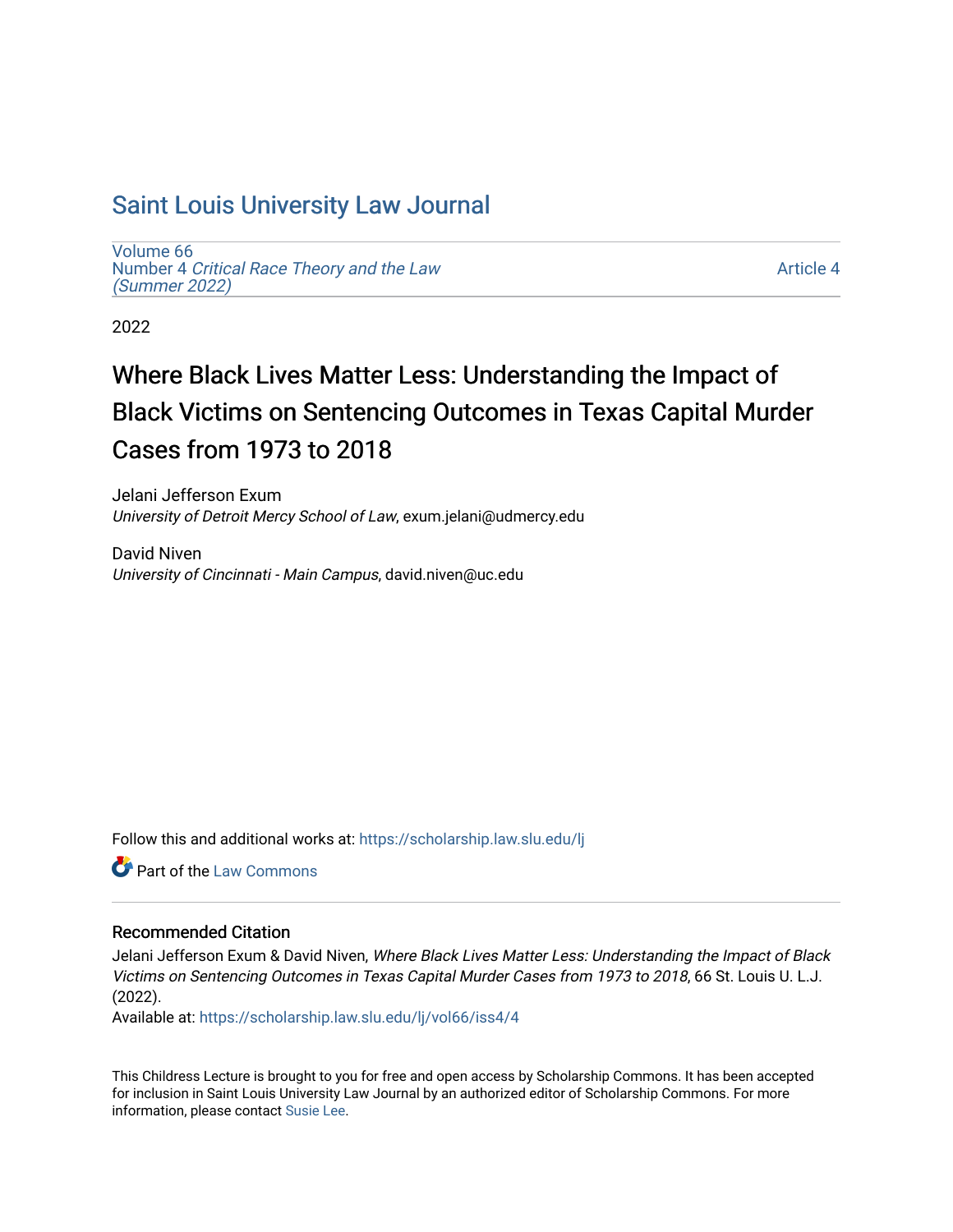# [Saint Louis University Law Journal](https://scholarship.law.slu.edu/lj)

[Volume 66](https://scholarship.law.slu.edu/lj/vol66) Number 4 [Critical Race Theory and the Law](https://scholarship.law.slu.edu/lj/vol66/iss4)  [\(Summer 2022\)](https://scholarship.law.slu.edu/lj/vol66/iss4)

[Article 4](https://scholarship.law.slu.edu/lj/vol66/iss4/4) 

2022

# Where Black Lives Matter Less: Understanding the Impact of Black Victims on Sentencing Outcomes in Texas Capital Murder Cases from 1973 to 2018

Jelani Jefferson Exum University of Detroit Mercy School of Law, exum.jelani@udmercy.edu

David Niven University of Cincinnati - Main Campus, david.niven@uc.edu

Follow this and additional works at: [https://scholarship.law.slu.edu/lj](https://scholarship.law.slu.edu/lj?utm_source=scholarship.law.slu.edu%2Flj%2Fvol66%2Fiss4%2F4&utm_medium=PDF&utm_campaign=PDFCoverPages) 

**C** Part of the [Law Commons](https://network.bepress.com/hgg/discipline/578?utm_source=scholarship.law.slu.edu%2Flj%2Fvol66%2Fiss4%2F4&utm_medium=PDF&utm_campaign=PDFCoverPages)

# Recommended Citation

Jelani Jefferson Exum & David Niven, Where Black Lives Matter Less: Understanding the Impact of Black Victims on Sentencing Outcomes in Texas Capital Murder Cases from 1973 to 2018, 66 St. Louis U. L.J. (2022).

Available at: [https://scholarship.law.slu.edu/lj/vol66/iss4/4](https://scholarship.law.slu.edu/lj/vol66/iss4/4?utm_source=scholarship.law.slu.edu%2Flj%2Fvol66%2Fiss4%2F4&utm_medium=PDF&utm_campaign=PDFCoverPages) 

This Childress Lecture is brought to you for free and open access by Scholarship Commons. It has been accepted for inclusion in Saint Louis University Law Journal by an authorized editor of Scholarship Commons. For more information, please contact [Susie Lee](mailto:susie.lee@slu.edu).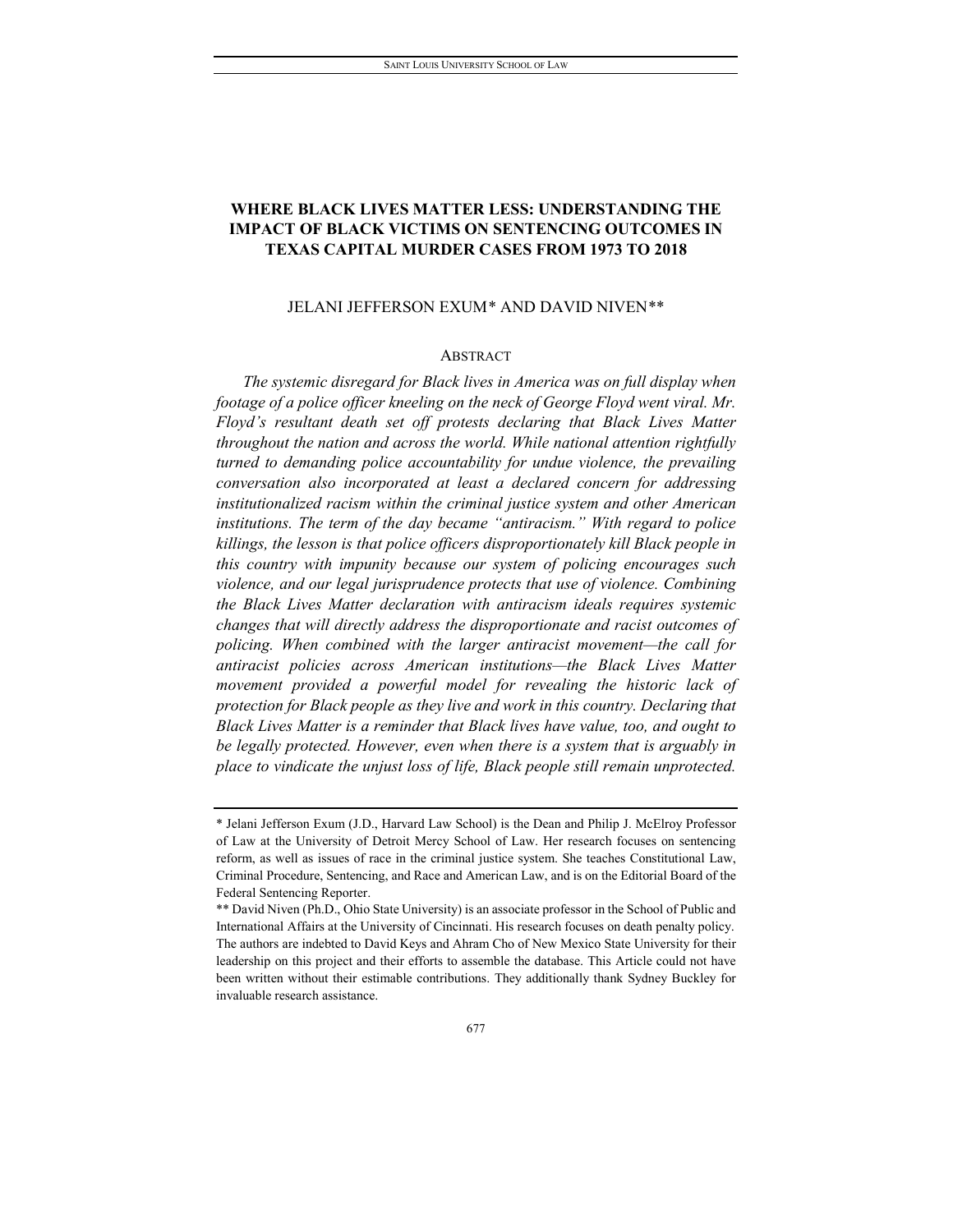# **WHERE BLACK LIVES MATTER LESS: UNDERSTANDING THE IMPACT OF BLACK VICTIMS ON SENTENCING OUTCOMES IN TEXAS CAPITAL MURDER CASES FROM 1973 TO 2018**

# JELANI JEFFERSON EXUM\* AND DAVID NIVEN[\\*\\*](#page-1-0)

# **ABSTRACT**

*The systemic disregard for Black lives in America was on full display when footage of a police officer kneeling on the neck of George Floyd went viral. Mr. Floyd's resultant death set off protests declaring that Black Lives Matter throughout the nation and across the world. While national attention rightfully turned to demanding police accountability for undue violence, the prevailing conversation also incorporated at least a declared concern for addressing institutionalized racism within the criminal justice system and other American institutions. The term of the day became "antiracism." With regard to police killings, the lesson is that police officers disproportionately kill Black people in this country with impunity because our system of policing encourages such violence, and our legal jurisprudence protects that use of violence. Combining the Black Lives Matter declaration with antiracism ideals requires systemic changes that will directly address the disproportionate and racist outcomes of policing. When combined with the larger antiracist movement—the call for antiracist policies across American institutions—the Black Lives Matter movement provided a powerful model for revealing the historic lack of protection for Black people as they live and work in this country. Declaring that Black Lives Matter is a reminder that Black lives have value, too, and ought to be legally protected. However, even when there is a system that is arguably in place to vindicate the unjust loss of life, Black people still remain unprotected.* 

<sup>\*</sup> Jelani Jefferson Exum (J.D., Harvard Law School) is the Dean and Philip J. McElroy Professor of Law at the University of Detroit Mercy School of Law. Her research focuses on sentencing reform, as well as issues of race in the criminal justice system. She teaches Constitutional Law, Criminal Procedure, Sentencing, and Race and American Law, and is on the Editorial Board of the Federal Sentencing Reporter.

<span id="page-1-0"></span><sup>\*\*</sup> David Niven (Ph.D., Ohio State University) is an associate professor in the School of Public and International Affairs at the University of Cincinnati. His research focuses on death penalty policy. The authors are indebted to David Keys and Ahram Cho of New Mexico State University for their leadership on this project and their efforts to assemble the database. This Article could not have been written without their estimable contributions. They additionally thank Sydney Buckley for invaluable research assistance.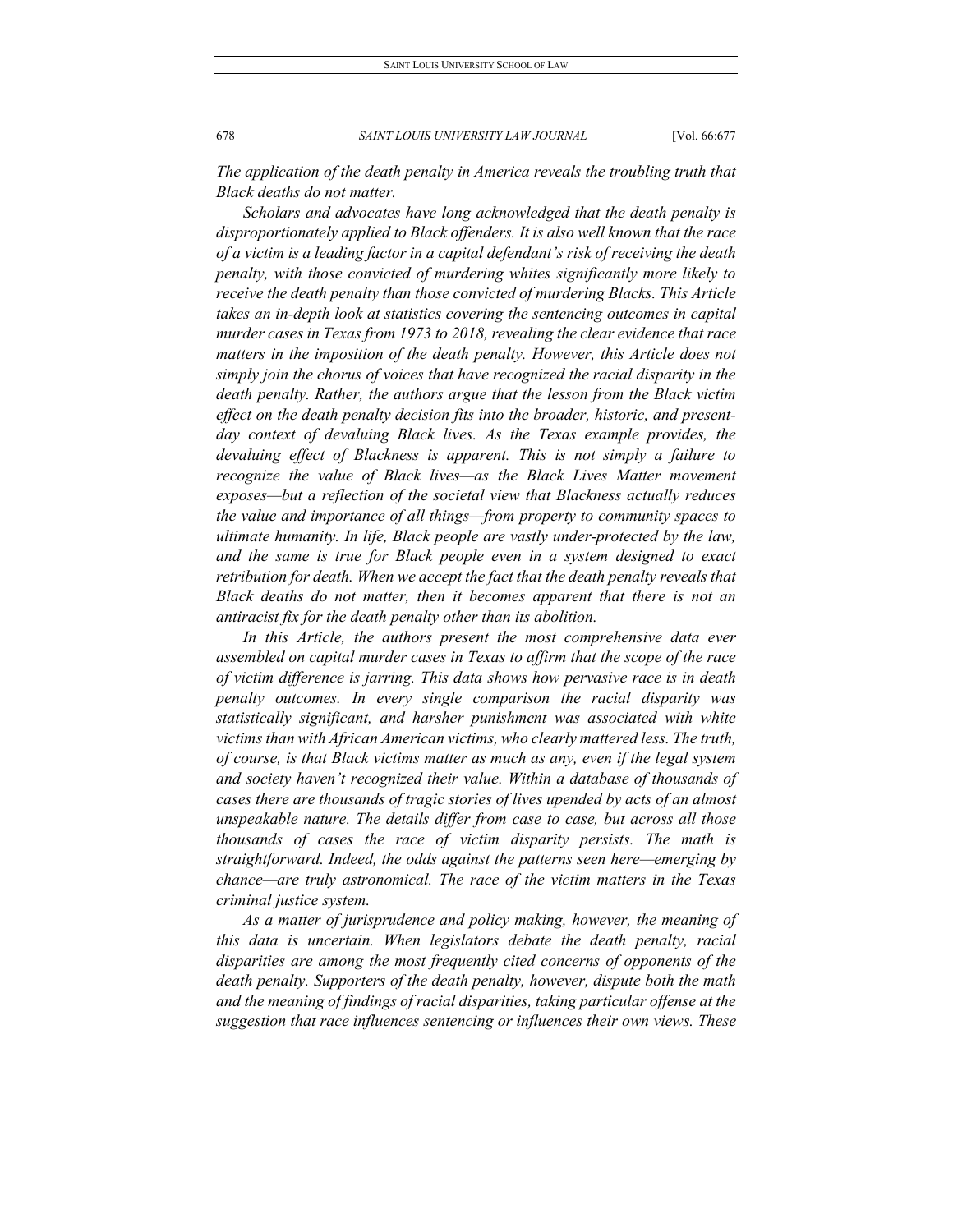*The application of the death penalty in America reveals the troubling truth that Black deaths do not matter.*

*Scholars and advocates have long acknowledged that the death penalty is disproportionately applied to Black offenders. It is also well known that the race of a victim is a leading factor in a capital defendant's risk of receiving the death penalty, with those convicted of murdering whites significantly more likely to receive the death penalty than those convicted of murdering Blacks. This Article takes an in-depth look at statistics covering the sentencing outcomes in capital murder cases in Texas from 1973 to 2018, revealing the clear evidence that race*  matters in the imposition of the death penalty. However, this Article does not *simply join the chorus of voices that have recognized the racial disparity in the death penalty. Rather, the authors argue that the lesson from the Black victim effect on the death penalty decision fits into the broader, historic, and present*day context of devaluing Black lives. As the Texas example provides, the *devaluing effect of Blackness is apparent. This is not simply a failure to recognize the value of Black lives—as the Black Lives Matter movement exposes—but a reflection of the societal view that Blackness actually reduces the value and importance of all things—from property to community spaces to ultimate humanity. In life, Black people are vastly under-protected by the law, and the same is true for Black people even in a system designed to exact retribution for death. When we accept the fact that the death penalty reveals that Black deaths do not matter, then it becomes apparent that there is not an antiracist fix for the death penalty other than its abolition.*

*In this Article, the authors present the most comprehensive data ever assembled on capital murder cases in Texas to affirm that the scope of the race of victim difference is jarring. This data shows how pervasive race is in death penalty outcomes. In every single comparison the racial disparity was statistically significant, and harsher punishment was associated with white victims than with African American victims, who clearly mattered less. The truth, of course, is that Black victims matter as much as any, even if the legal system and society haven't recognized their value. Within a database of thousands of cases there are thousands of tragic stories of lives upended by acts of an almost unspeakable nature. The details differ from case to case, but across all those thousands of cases the race of victim disparity persists. The math is straightforward. Indeed, the odds against the patterns seen here—emerging by chance—are truly astronomical. The race of the victim matters in the Texas criminal justice system.* 

*As a matter of jurisprudence and policy making, however, the meaning of this data is uncertain. When legislators debate the death penalty, racial disparities are among the most frequently cited concerns of opponents of the death penalty. Supporters of the death penalty, however, dispute both the math and the meaning of findings of racial disparities, taking particular offense at the suggestion that race influences sentencing or influences their own views. These*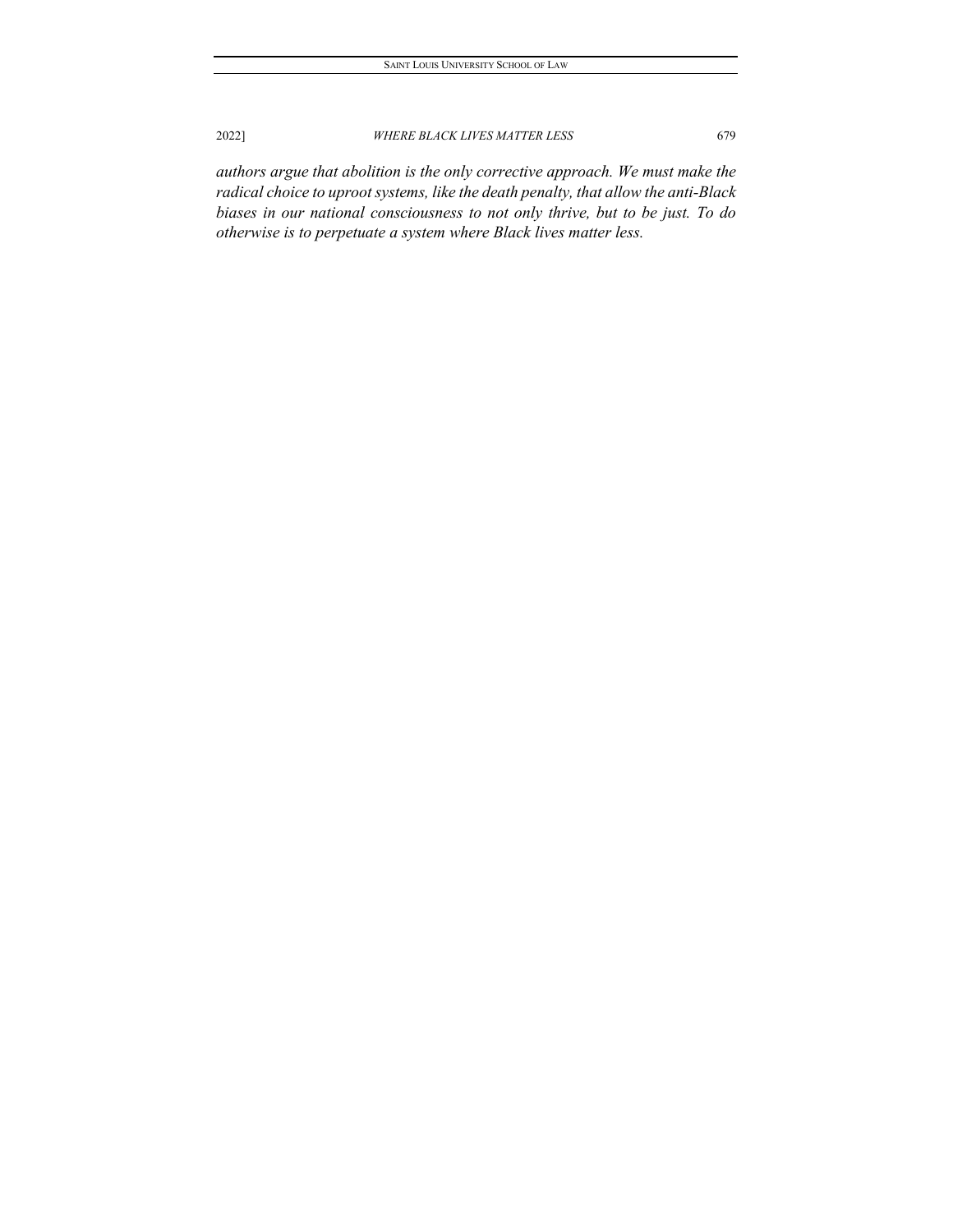*authors argue that abolition is the only corrective approach. We must make the radical choice to uproot systems, like the death penalty, that allow the anti-Black biases in our national consciousness to not only thrive, but to be just. To do otherwise is to perpetuate a system where Black lives matter less.*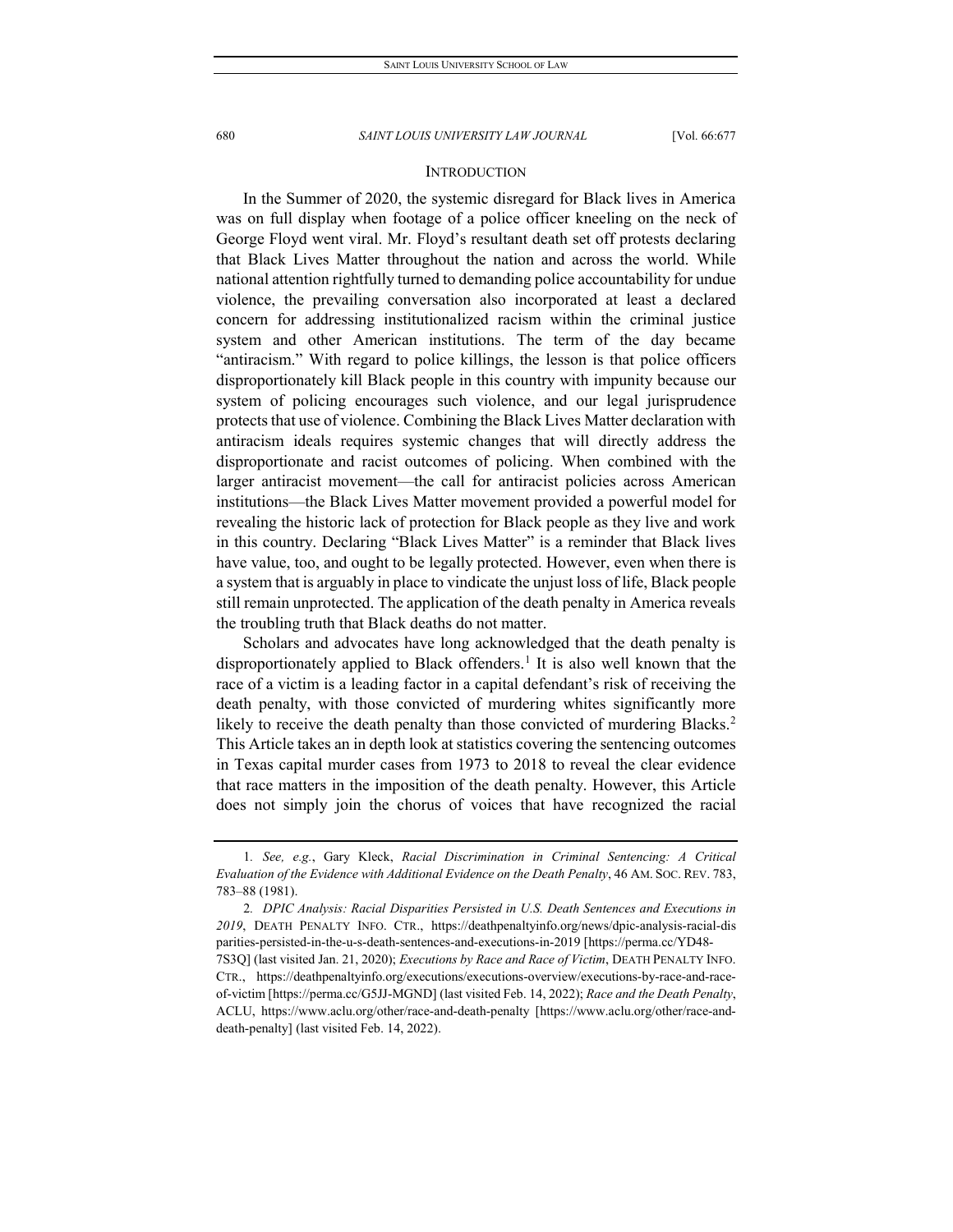# **INTRODUCTION**

In the Summer of 2020, the systemic disregard for Black lives in America was on full display when footage of a police officer kneeling on the neck of George Floyd went viral. Mr. Floyd's resultant death set off protests declaring that Black Lives Matter throughout the nation and across the world. While national attention rightfully turned to demanding police accountability for undue violence, the prevailing conversation also incorporated at least a declared concern for addressing institutionalized racism within the criminal justice system and other American institutions. The term of the day became "antiracism." With regard to police killings, the lesson is that police officers disproportionately kill Black people in this country with impunity because our system of policing encourages such violence, and our legal jurisprudence protects that use of violence. Combining the Black Lives Matter declaration with antiracism ideals requires systemic changes that will directly address the disproportionate and racist outcomes of policing. When combined with the larger antiracist movement—the call for antiracist policies across American institutions—the Black Lives Matter movement provided a powerful model for revealing the historic lack of protection for Black people as they live and work in this country. Declaring "Black Lives Matter" is a reminder that Black lives have value, too, and ought to be legally protected. However, even when there is a system that is arguably in place to vindicate the unjust loss of life, Black people still remain unprotected. The application of the death penalty in America reveals the troubling truth that Black deaths do not matter.

Scholars and advocates have long acknowledged that the death penalty is disproportionately applied to Black offenders.<sup>1</sup> It is also well known that the race of a victim is a leading factor in a capital defendant's risk of receiving the death penalty, with those convicted of murdering whites significantly more likely to receive the death penalty than those convicted of murdering Blacks.<sup>2</sup> This Article takes an in depth look at statistics covering the sentencing outcomes in Texas capital murder cases from 1973 to 2018 to reveal the clear evidence that race matters in the imposition of the death penalty. However, this Article does not simply join the chorus of voices that have recognized the racial

<span id="page-4-0"></span><sup>1</sup>*. See, e.g.*, Gary Kleck, *Racial Discrimination in Criminal Sentencing: A Critical Evaluation of the Evidence with Additional Evidence on the Death Penalty*, 46 AM. SOC. REV. 783, 783–88 (1981).

<span id="page-4-1"></span><sup>2</sup>*. DPIC Analysis: Racial Disparities Persisted in U.S. Death Sentences and Executions in 2019*, DEATH PENALTY INFO. CTR., https://deathpenaltyinfo.org/news/dpic-analysis-racial-dis parities-persisted-in-the-u-s-death-sentences-and-executions-in-2019 [https://perma.cc/YD48- 7S3Q] (last visited Jan. 21, 2020); *Executions by Race and Race of Victim*, DEATH PENALTY INFO. CTR., https://deathpenaltyinfo.org/executions/executions-overview/executions-by-race-and-raceof-victim [https://perma.cc/G5JJ-MGND] (last visited Feb. 14, 2022); *Race and the Death Penalty*, ACLU, https://www.aclu.org/other/race-and-death-penalty [https://www.aclu.org/other/race-anddeath-penalty] (last visited Feb. 14, 2022).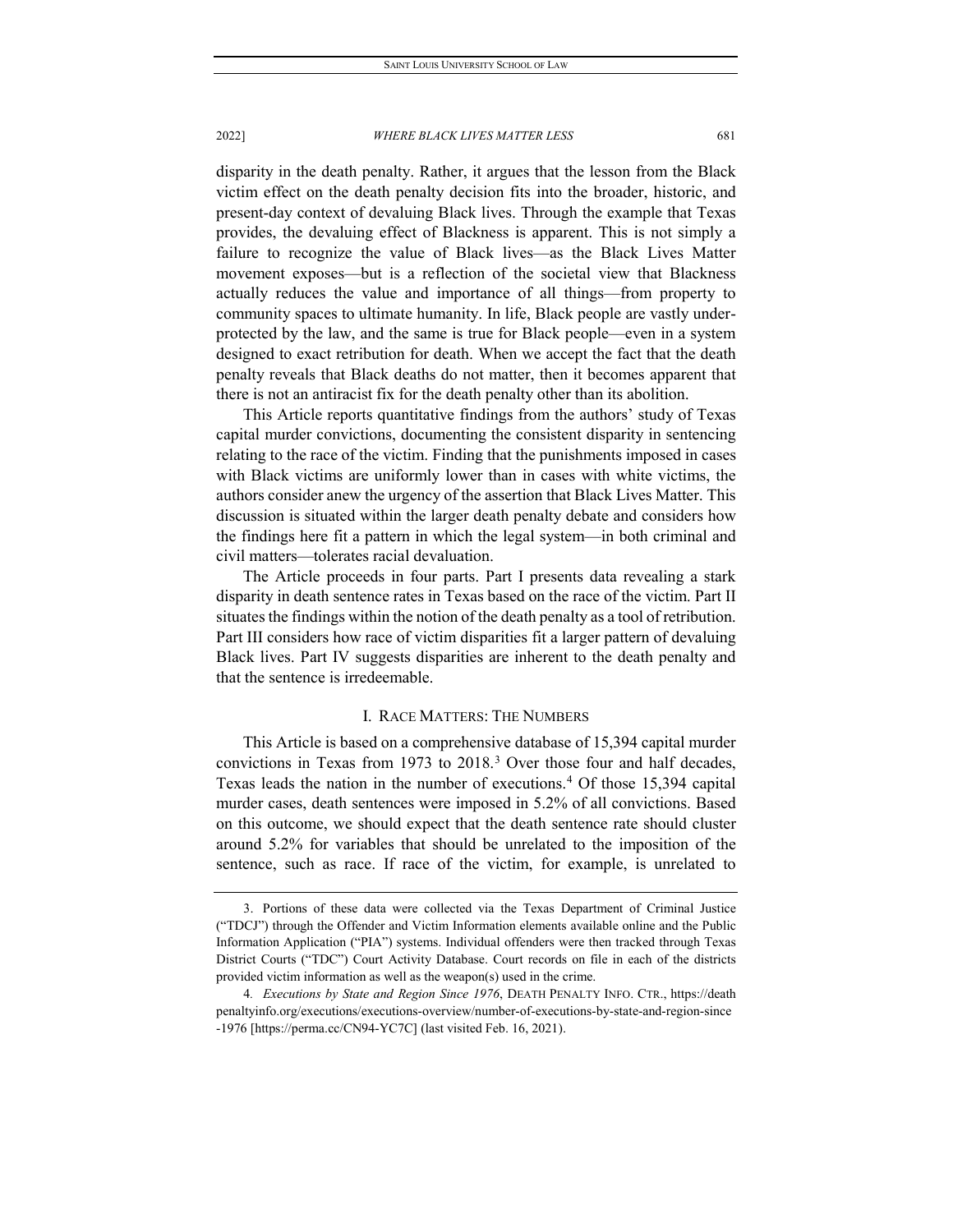disparity in the death penalty. Rather, it argues that the lesson from the Black victim effect on the death penalty decision fits into the broader, historic, and present-day context of devaluing Black lives. Through the example that Texas provides, the devaluing effect of Blackness is apparent. This is not simply a failure to recognize the value of Black lives—as the Black Lives Matter movement exposes—but is a reflection of the societal view that Blackness actually reduces the value and importance of all things—from property to community spaces to ultimate humanity. In life, Black people are vastly underprotected by the law, and the same is true for Black people—even in a system designed to exact retribution for death. When we accept the fact that the death penalty reveals that Black deaths do not matter, then it becomes apparent that there is not an antiracist fix for the death penalty other than its abolition.

This Article reports quantitative findings from the authors' study of Texas capital murder convictions, documenting the consistent disparity in sentencing relating to the race of the victim. Finding that the punishments imposed in cases with Black victims are uniformly lower than in cases with white victims, the authors consider anew the urgency of the assertion that Black Lives Matter. This discussion is situated within the larger death penalty debate and considers how the findings here fit a pattern in which the legal system—in both criminal and civil matters—tolerates racial devaluation.

The Article proceeds in four parts. Part I presents data revealing a stark disparity in death sentence rates in Texas based on the race of the victim. Part II situates the findings within the notion of the death penalty as a tool of retribution. Part III considers how race of victim disparities fit a larger pattern of devaluing Black lives. Part IV suggests disparities are inherent to the death penalty and that the sentence is irredeemable.

# I. RACE MATTERS: THE NUMBERS

This Article is based on a comprehensive database of 15,394 capital murder convictions in Texas from 1973 to 2018.[3](#page-5-0) Over those four and half decades, Texas leads the nation in the number of executions.[4](#page-5-1) Of those 15,394 capital murder cases, death sentences were imposed in 5.2% of all convictions. Based on this outcome, we should expect that the death sentence rate should cluster around 5.2% for variables that should be unrelated to the imposition of the sentence, such as race. If race of the victim, for example, is unrelated to

<span id="page-5-0"></span><sup>3.</sup> Portions of these data were collected via the Texas Department of Criminal Justice ("TDCJ") through the Offender and Victim Information elements available online and the Public Information Application ("PIA") systems. Individual offenders were then tracked through Texas District Courts ("TDC") Court Activity Database. Court records on file in each of the districts provided victim information as well as the weapon(s) used in the crime.

<span id="page-5-1"></span><sup>4</sup>*. Executions by State and Region Since 1976*, DEATH PENALTY INFO. CTR., https://death penaltyinfo.org/executions/executions-overview/number-of-executions-by-state-and-region-since -1976 [https://perma.cc/CN94-YC7C] (last visited Feb. 16, 2021).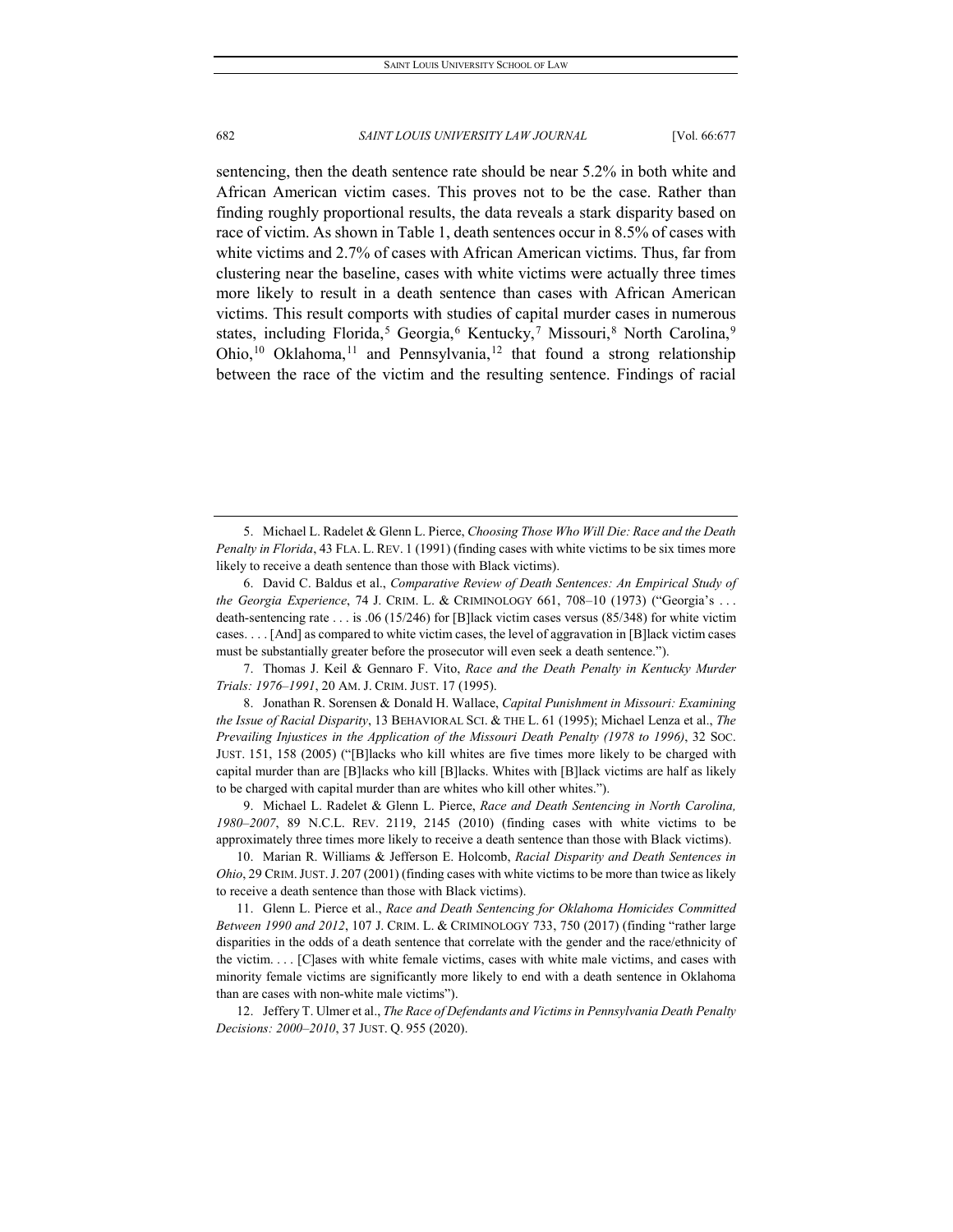sentencing, then the death sentence rate should be near 5.2% in both white and African American victim cases. This proves not to be the case. Rather than finding roughly proportional results, the data reveals a stark disparity based on race of victim. As shown in Table 1, death sentences occur in 8.5% of cases with white victims and 2.7% of cases with African American victims. Thus, far from clustering near the baseline, cases with white victims were actually three times more likely to result in a death sentence than cases with African American victims. This result comports with studies of capital murder cases in numerous states, including Florida,<sup>[5](#page-6-0)</sup> Georgia,<sup>[6](#page-6-1)</sup> Kentucky,<sup>[7](#page-6-2)</sup> Missouri,<sup>[8](#page-6-3)</sup> North Carolina,<sup>[9](#page-6-4)</sup> Ohio,<sup>[10](#page-6-5)</sup> Oklahoma,<sup>[11](#page-6-6)</sup> and Pennsylvania,<sup>[12](#page-6-7)</sup> that found a strong relationship between the race of the victim and the resulting sentence. Findings of racial

<span id="page-6-3"></span>8. Jonathan R. Sorensen & Donald H. Wallace, *Capital Punishment in Missouri: Examining the Issue of Racial Disparity*, 13 BEHAVIORAL SCI. & THE L. 61 (1995); Michael Lenza et al., *The Prevailing Injustices in the Application of the Missouri Death Penalty (1978 to 1996)*, 32 SOC. JUST. 151, 158 (2005) ("[B]lacks who kill whites are five times more likely to be charged with capital murder than are [B]lacks who kill [B]lacks. Whites with [B]lack victims are half as likely to be charged with capital murder than are whites who kill other whites.").

<span id="page-6-4"></span>9. Michael L. Radelet & Glenn L. Pierce, *Race and Death Sentencing in North Carolina, 1980–2007*, 89 N.C.L. REV. 2119, 2145 (2010) (finding cases with white victims to be approximately three times more likely to receive a death sentence than those with Black victims).

<span id="page-6-5"></span>10. Marian R. Williams & Jefferson E. Holcomb, *Racial Disparity and Death Sentences in Ohio*, 29 CRIM.JUST.J. 207 (2001) (finding cases with white victims to be more than twice as likely to receive a death sentence than those with Black victims).

<span id="page-6-6"></span>11. Glenn L. Pierce et al., *Race and Death Sentencing for Oklahoma Homicides Committed Between 1990 and 2012*, 107 J. CRIM. L. & CRIMINOLOGY 733, 750 (2017) (finding "rather large disparities in the odds of a death sentence that correlate with the gender and the race/ethnicity of the victim. . . . [C]ases with white female victims, cases with white male victims, and cases with minority female victims are significantly more likely to end with a death sentence in Oklahoma than are cases with non-white male victims").

<span id="page-6-7"></span>12. Jeffery T. Ulmer et al., *The Race of Defendants and Victims in Pennsylvania Death Penalty Decisions: 2000–2010*, 37 JUST. Q. 955 (2020).

<span id="page-6-0"></span><sup>5.</sup> Michael L. Radelet & Glenn L. Pierce, *Choosing Those Who Will Die: Race and the Death Penalty in Florida*, 43 FLA. L. REV. 1 (1991) (finding cases with white victims to be six times more likely to receive a death sentence than those with Black victims).

<span id="page-6-1"></span><sup>6.</sup> David C. Baldus et al., *Comparative Review of Death Sentences: An Empirical Study of the Georgia Experience*, 74 J. CRIM. L. & CRIMINOLOGY 661, 708–10 (1973) ("Georgia's . . . death-sentencing rate . . . is .06 (15/246) for [B]lack victim cases versus (85/348) for white victim cases. . . . [And] as compared to white victim cases, the level of aggravation in [B]lack victim cases must be substantially greater before the prosecutor will even seek a death sentence.").

<span id="page-6-2"></span><sup>7.</sup> Thomas J. Keil & Gennaro F. Vito, *Race and the Death Penalty in Kentucky Murder Trials: 1976–1991*, 20 AM. J. CRIM. JUST. 17 (1995).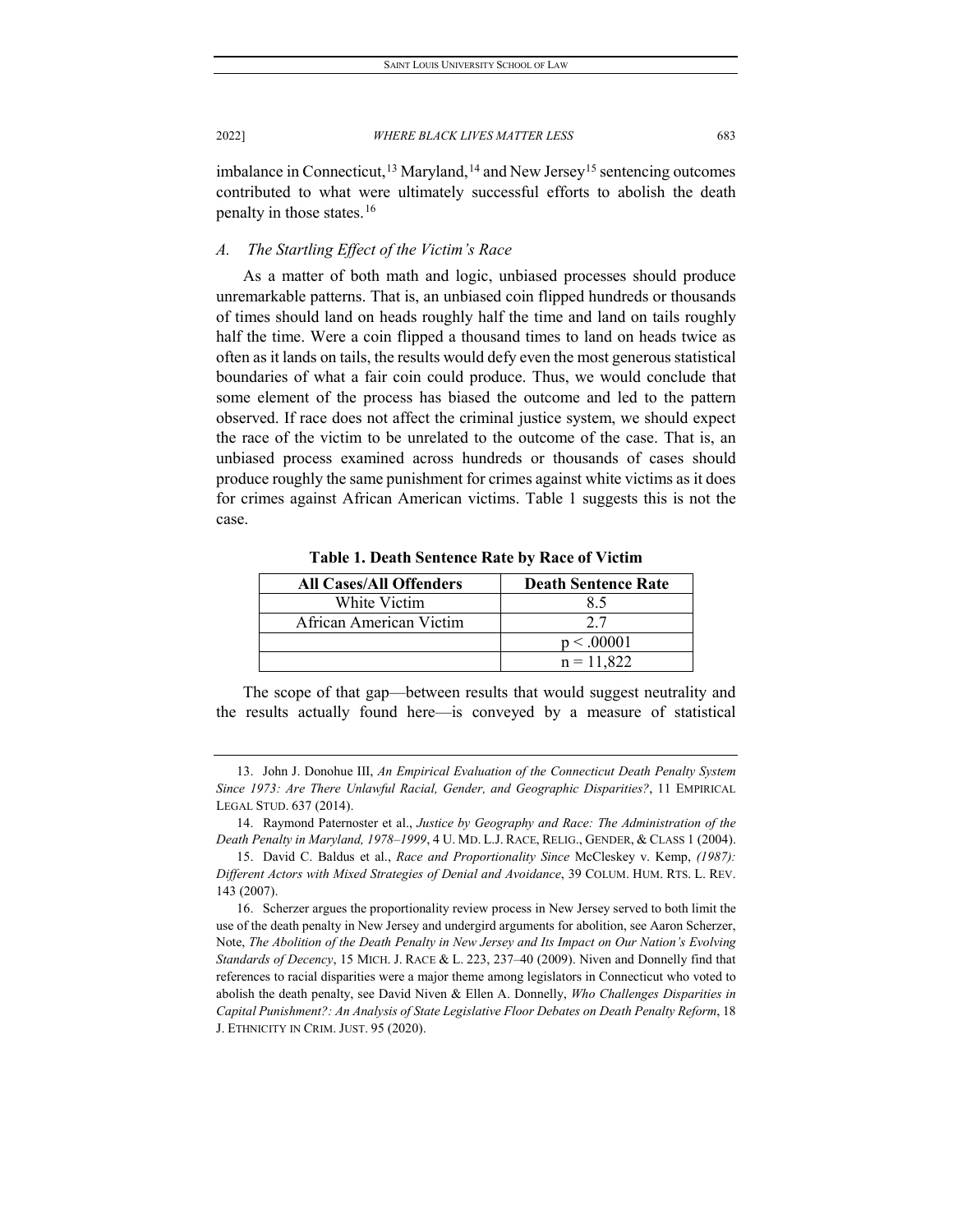imbalance in Connecticut,<sup>[13](#page-7-0)</sup> Maryland,<sup>[14](#page-7-1)</sup> and New Jersey<sup>15</sup> sentencing outcomes contributed to what were ultimately successful efforts to abolish the death penalty in those states.[16](#page-7-3)

# *A. The Startling Effect of the Victim's Race*

As a matter of both math and logic, unbiased processes should produce unremarkable patterns. That is, an unbiased coin flipped hundreds or thousands of times should land on heads roughly half the time and land on tails roughly half the time. Were a coin flipped a thousand times to land on heads twice as often as it lands on tails, the results would defy even the most generous statistical boundaries of what a fair coin could produce. Thus, we would conclude that some element of the process has biased the outcome and led to the pattern observed. If race does not affect the criminal justice system, we should expect the race of the victim to be unrelated to the outcome of the case. That is, an unbiased process examined across hundreds or thousands of cases should produce roughly the same punishment for crimes against white victims as it does for crimes against African American victims. Table 1 suggests this is not the case.

**All Cases/All Offenders Death Sentence Rate** White Victim and 1 8.5 African American Victim 2.7  $p < .00001$  $n = 11,822$ 

**Table 1. Death Sentence Rate by Race of Victim**

The scope of that gap—between results that would suggest neutrality and the results actually found here—is conveyed by a measure of statistical

<span id="page-7-0"></span><sup>13.</sup> John J. Donohue III, *An Empirical Evaluation of the Connecticut Death Penalty System Since 1973: Are There Unlawful Racial, Gender, and Geographic Disparities?*, 11 EMPIRICAL LEGAL STUD. 637 (2014).

<span id="page-7-1"></span><sup>14.</sup> Raymond Paternoster et al., *Justice by Geography and Race: The Administration of the Death Penalty in Maryland, 1978–1999*, 4 U. MD. L.J. RACE, RELIG., GENDER, & CLASS 1 (2004).

<span id="page-7-2"></span><sup>15.</sup> David C. Baldus et al., *Race and Proportionality Since* McCleskey v. Kemp, *(1987): Different Actors with Mixed Strategies of Denial and Avoidance*, 39 COLUM. HUM. RTS. L. REV. 143 (2007).

<span id="page-7-3"></span><sup>16.</sup> Scherzer argues the proportionality review process in New Jersey served to both limit the use of the death penalty in New Jersey and undergird arguments for abolition, see Aaron Scherzer, Note, *The Abolition of the Death Penalty in New Jersey and Its Impact on Our Nation's Evolving Standards of Decency*, 15 MICH. J. RACE & L. 223, 237–40 (2009). Niven and Donnelly find that references to racial disparities were a major theme among legislators in Connecticut who voted to abolish the death penalty, see David Niven & Ellen A. Donnelly, *Who Challenges Disparities in Capital Punishment?: An Analysis of State Legislative Floor Debates on Death Penalty Reform*, 18 J. ETHNICITY IN CRIM. JUST. 95 (2020).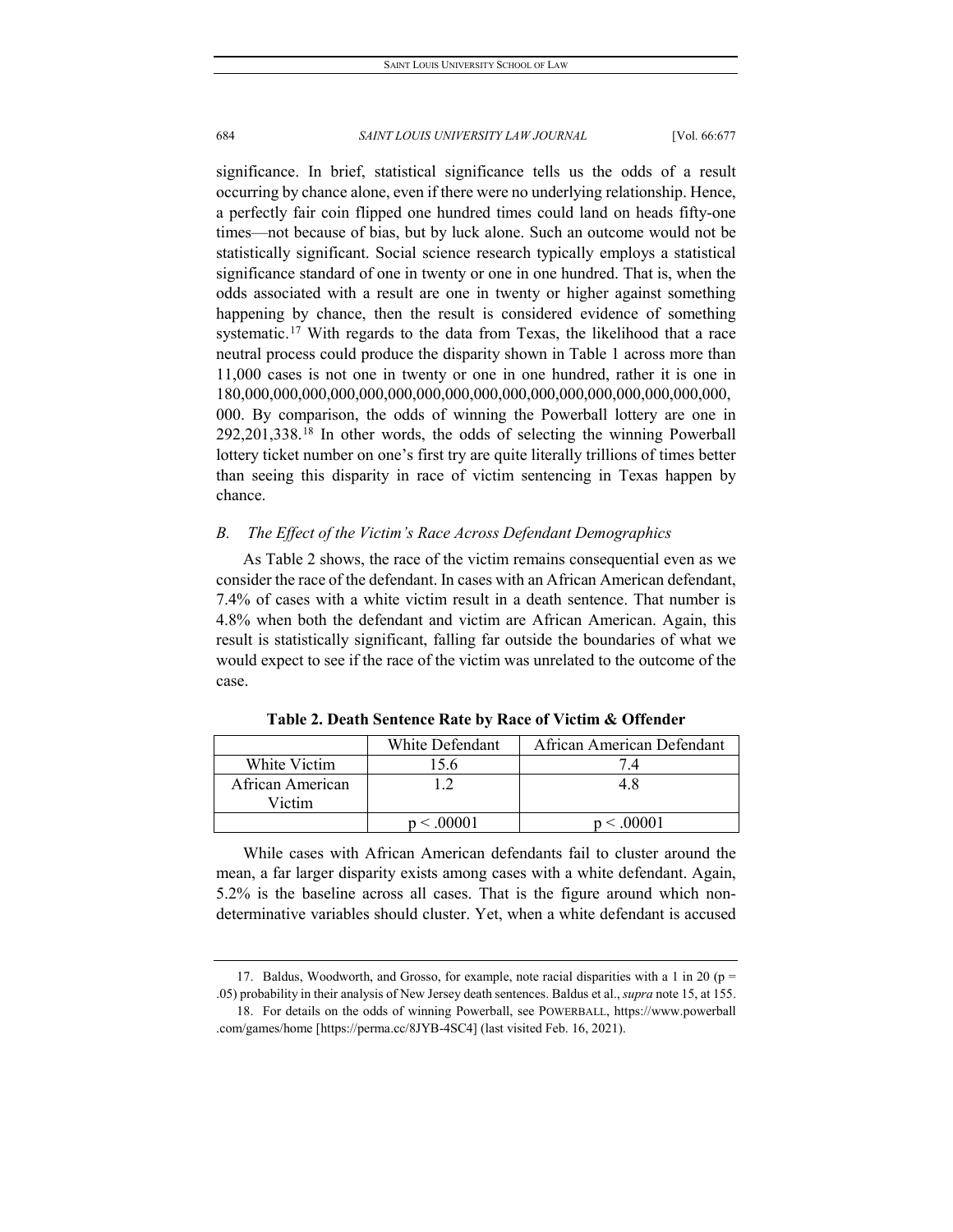significance. In brief, statistical significance tells us the odds of a result occurring by chance alone, even if there were no underlying relationship. Hence, a perfectly fair coin flipped one hundred times could land on heads fifty-one times—not because of bias, but by luck alone. Such an outcome would not be statistically significant. Social science research typically employs a statistical significance standard of one in twenty or one in one hundred. That is, when the odds associated with a result are one in twenty or higher against something happening by chance, then the result is considered evidence of something systematic.<sup>[17](#page-8-0)</sup> With regards to the data from Texas, the likelihood that a race neutral process could produce the disparity shown in Table 1 across more than 11,000 cases is not one in twenty or one in one hundred, rather it is one in 180,000,000,000,000,000,000,000,000,000,000,000,000,000,000,000,000,000, 000. By comparison, the odds of winning the Powerball lottery are one in 292,201,338.[18](#page-8-1) In other words, the odds of selecting the winning Powerball lottery ticket number on one's first try are quite literally trillions of times better than seeing this disparity in race of victim sentencing in Texas happen by chance.

#### *B. The Effect of the Victim's Race Across Defendant Demographics*

As Table 2 shows, the race of the victim remains consequential even as we consider the race of the defendant. In cases with an African American defendant, 7.4% of cases with a white victim result in a death sentence. That number is 4.8% when both the defendant and victim are African American. Again, this result is statistically significant, falling far outside the boundaries of what we would expect to see if the race of the victim was unrelated to the outcome of the case.

|                            | White Defendant | African American Defendant |
|----------------------------|-----------------|----------------------------|
| White Victim               | 5.6             |                            |
| African American<br>Victim |                 |                            |
|                            | < 0.0001        |                            |

**Table 2. Death Sentence Rate by Race of Victim & Offender**

While cases with African American defendants fail to cluster around the mean, a far larger disparity exists among cases with a white defendant. Again, 5.2% is the baseline across all cases. That is the figure around which nondeterminative variables should cluster. Yet, when a white defendant is accused

<sup>17.</sup> Baldus, Woodworth, and Grosso, for example, note racial disparities with a 1 in 20 ( $p =$ 

<span id="page-8-1"></span><span id="page-8-0"></span><sup>.05)</sup> probability in their analysis of New Jersey death sentences. Baldus et al., *supra* note 15, at 155. 18. For details on the odds of winning Powerball, see POWERBALL, https://www.powerball .com/games/home [https://perma.cc/8JYB-4SC4] (last visited Feb. 16, 2021).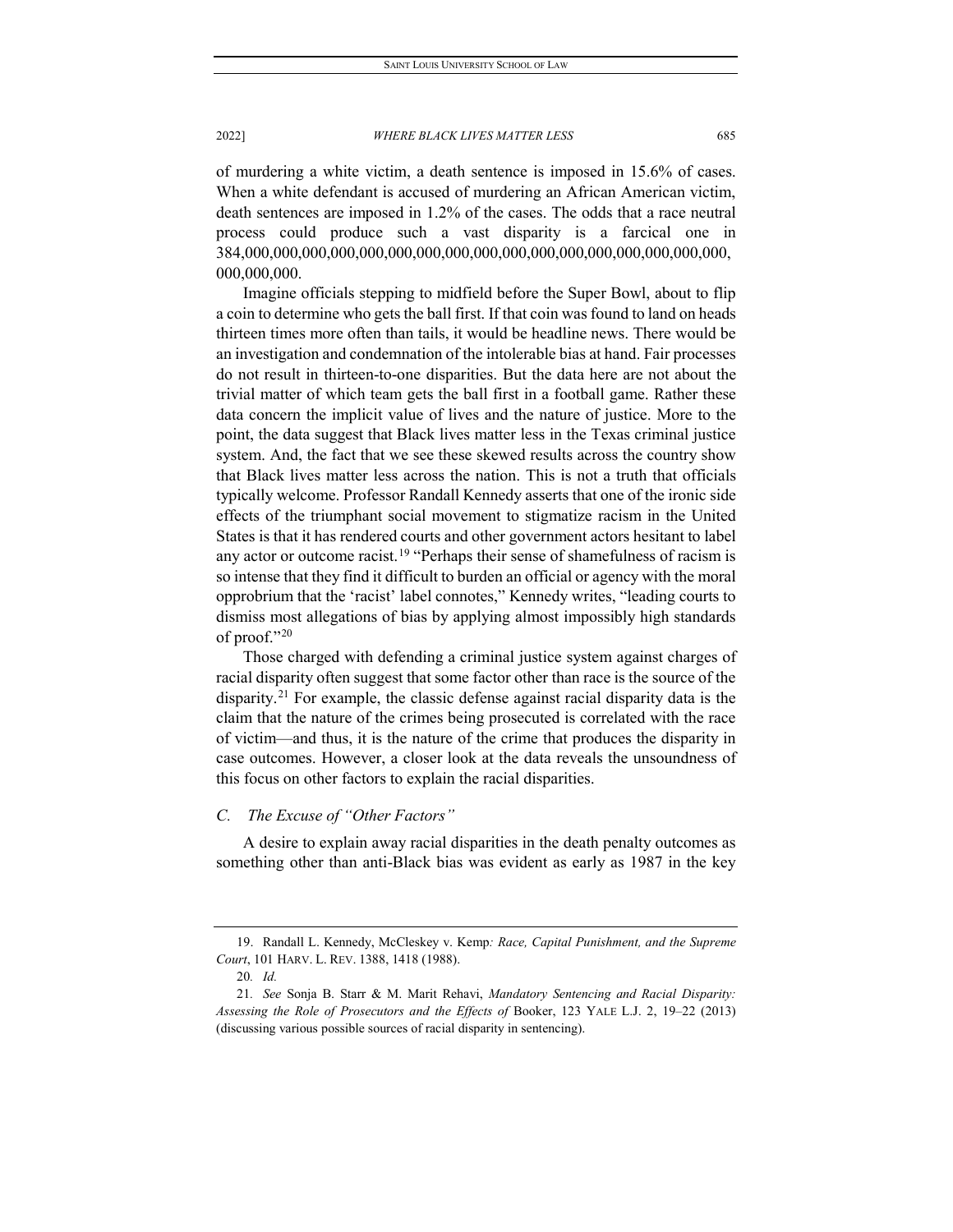of murdering a white victim, a death sentence is imposed in 15.6% of cases. When a white defendant is accused of murdering an African American victim, death sentences are imposed in 1.2% of the cases. The odds that a race neutral process could produce such a vast disparity is a farcical one in 384,000,000,000,000,000,000,000,000,000,000,000,000,000,000,000,000,000, 000,000,000.

Imagine officials stepping to midfield before the Super Bowl, about to flip a coin to determine who gets the ball first. If that coin was found to land on heads thirteen times more often than tails, it would be headline news. There would be an investigation and condemnation of the intolerable bias at hand. Fair processes do not result in thirteen-to-one disparities. But the data here are not about the trivial matter of which team gets the ball first in a football game. Rather these data concern the implicit value of lives and the nature of justice. More to the point, the data suggest that Black lives matter less in the Texas criminal justice system. And, the fact that we see these skewed results across the country show that Black lives matter less across the nation. This is not a truth that officials typically welcome. Professor Randall Kennedy asserts that one of the ironic side effects of the triumphant social movement to stigmatize racism in the United States is that it has rendered courts and other government actors hesitant to label any actor or outcome racist.<sup>[19](#page-9-0)</sup> "Perhaps their sense of shamefulness of racism is so intense that they find it difficult to burden an official or agency with the moral opprobrium that the 'racist' label connotes," Kennedy writes, "leading courts to dismiss most allegations of bias by applying almost impossibly high standards of proof."[20](#page-9-1)

Those charged with defending a criminal justice system against charges of racial disparity often suggest that some factor other than race is the source of the disparity.[21](#page-9-2) For example, the classic defense against racial disparity data is the claim that the nature of the crimes being prosecuted is correlated with the race of victim—and thus, it is the nature of the crime that produces the disparity in case outcomes. However, a closer look at the data reveals the unsoundness of this focus on other factors to explain the racial disparities.

# *C. The Excuse of "Other Factors"*

A desire to explain away racial disparities in the death penalty outcomes as something other than anti-Black bias was evident as early as 1987 in the key

<span id="page-9-0"></span><sup>19.</sup> Randall L. Kennedy, McCleskey v. Kemp*: Race, Capital Punishment, and the Supreme Court*, 101 HARV. L. REV. 1388, 1418 (1988).

<sup>20</sup>*. Id.*

<span id="page-9-2"></span><span id="page-9-1"></span><sup>21</sup>*. See* Sonja B. Starr & M. Marit Rehavi, *Mandatory Sentencing and Racial Disparity: Assessing the Role of Prosecutors and the Effects of* Booker, 123 YALE L.J. 2, 19–22 (2013) (discussing various possible sources of racial disparity in sentencing).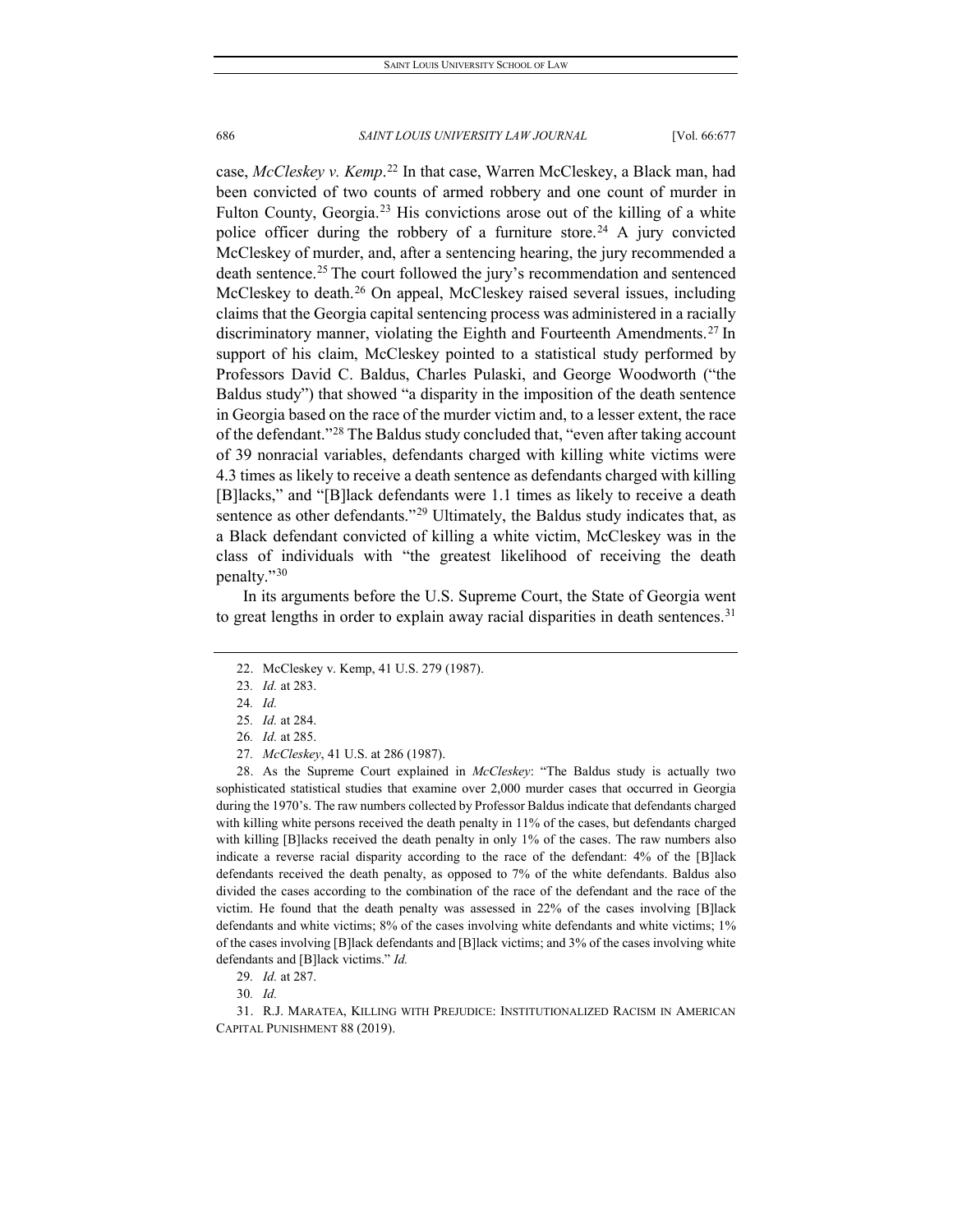case, *McCleskey v. Kemp*. [22](#page-10-0) In that case, Warren McCleskey, a Black man, had been convicted of two counts of armed robbery and one count of murder in Fulton County, Georgia.<sup>[23](#page-10-1)</sup> His convictions arose out of the killing of a white police officer during the robbery of a furniture store.<sup>[24](#page-10-2)</sup> A jury convicted McCleskey of murder, and, after a sentencing hearing, the jury recommended a death sentence.[25](#page-10-3) The court followed the jury's recommendation and sentenced McCleskey to death. [26](#page-10-4) On appeal, McCleskey raised several issues, including claims that the Georgia capital sentencing process was administered in a racially discriminatory manner, violating the Eighth and Fourteenth Amendments.<sup>[27](#page-10-5)</sup> In support of his claim, McCleskey pointed to a statistical study performed by Professors David C. Baldus, Charles Pulaski, and George Woodworth ("the Baldus study") that showed "a disparity in the imposition of the death sentence in Georgia based on the race of the murder victim and, to a lesser extent, the race of the defendant."[28](#page-10-6) The Baldus study concluded that, "even after taking account of 39 nonracial variables, defendants charged with killing white victims were 4.3 times as likely to receive a death sentence as defendants charged with killing [B]lacks," and "[B]lack defendants were 1.1 times as likely to receive a death sentence as other defendants."<sup>[29](#page-10-7)</sup> Ultimately, the Baldus study indicates that, as a Black defendant convicted of killing a white victim, McCleskey was in the class of individuals with "the greatest likelihood of receiving the death penalty."[30](#page-10-8)

<span id="page-10-0"></span>In its arguments before the U.S. Supreme Court, the State of Georgia went to great lengths in order to explain away racial disparities in death sentences.<sup>[31](#page-10-9)</sup>

<span id="page-10-6"></span><span id="page-10-5"></span><span id="page-10-4"></span><span id="page-10-3"></span><span id="page-10-2"></span>28. As the Supreme Court explained in *McCleskey*: "The Baldus study is actually two sophisticated statistical studies that examine over 2,000 murder cases that occurred in Georgia during the 1970's. The raw numbers collected by Professor Baldus indicate that defendants charged with killing white persons received the death penalty in 11% of the cases, but defendants charged with killing [B]lacks received the death penalty in only 1% of the cases. The raw numbers also indicate a reverse racial disparity according to the race of the defendant: 4% of the [B]lack defendants received the death penalty, as opposed to 7% of the white defendants. Baldus also divided the cases according to the combination of the race of the defendant and the race of the victim. He found that the death penalty was assessed in 22% of the cases involving [B]lack defendants and white victims; 8% of the cases involving white defendants and white victims; 1% of the cases involving [B]lack defendants and [B]lack victims; and 3% of the cases involving white defendants and [B]lack victims." *Id.*

<span id="page-10-9"></span><span id="page-10-8"></span><span id="page-10-7"></span>31. R.J. MARATEA, KILLING WITH PREJUDICE: INSTITUTIONALIZED RACISM IN AMERICAN CAPITAL PUNISHMENT 88 (2019).

<span id="page-10-1"></span><sup>22.</sup> McCleskey v. Kemp, 41 U.S. 279 (1987).

<sup>23</sup>*. Id.* at 283.

<sup>24</sup>*. Id.*

<sup>25</sup>*. Id.* at 284.

<sup>26</sup>*. Id.* at 285.

<sup>27</sup>*. McCleskey*, 41 U.S. at 286 (1987).

<sup>29</sup>*. Id.* at 287.

<sup>30</sup>*. Id.*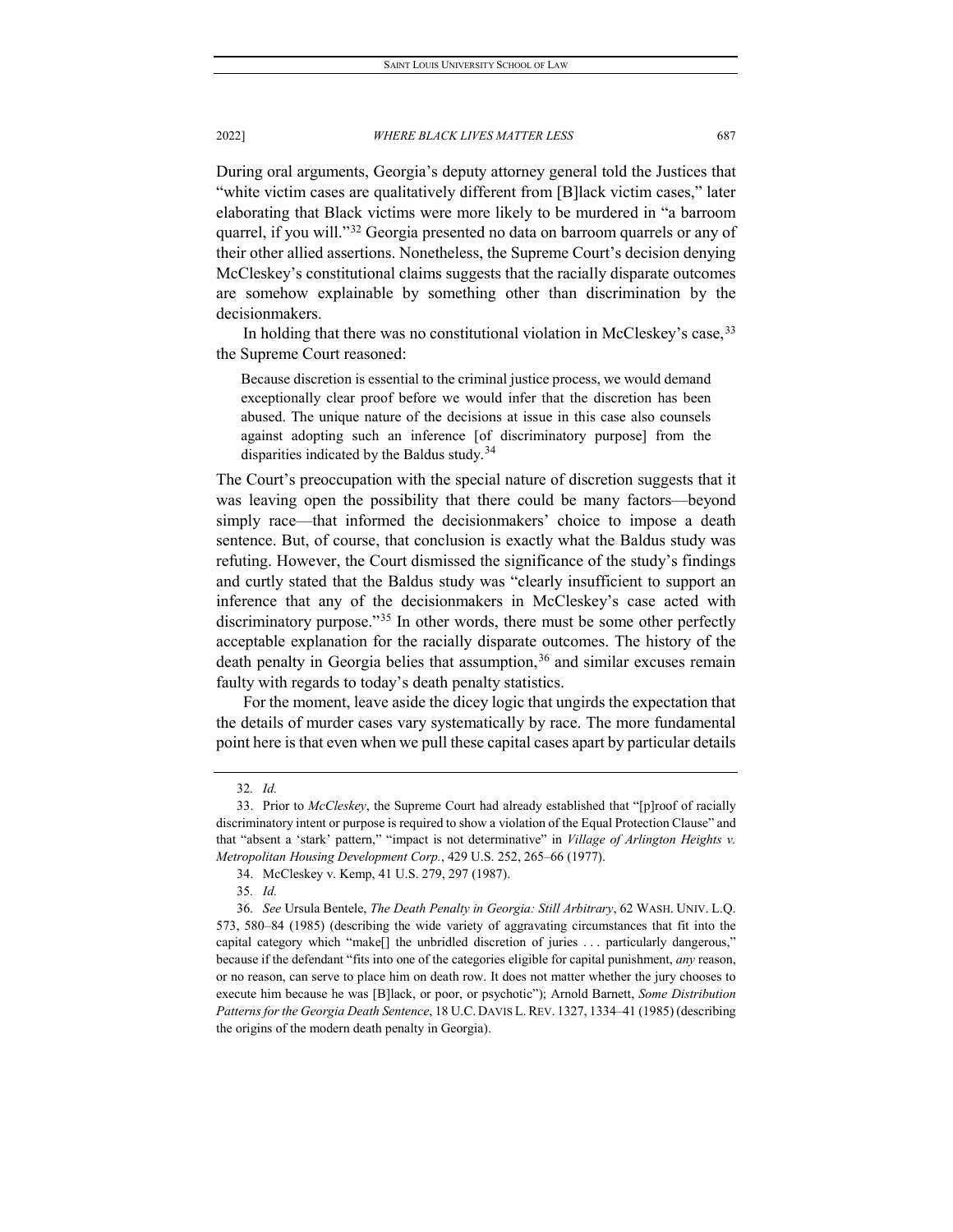During oral arguments, Georgia's deputy attorney general told the Justices that "white victim cases are qualitatively different from [B]lack victim cases," later elaborating that Black victims were more likely to be murdered in "a barroom quarrel, if you will."[32](#page-11-0) Georgia presented no data on barroom quarrels or any of their other allied assertions. Nonetheless, the Supreme Court's decision denying McCleskey's constitutional claims suggests that the racially disparate outcomes are somehow explainable by something other than discrimination by the decisionmakers.

In holding that there was no constitutional violation in McCleskey's case,  $33$ the Supreme Court reasoned:

Because discretion is essential to the criminal justice process, we would demand exceptionally clear proof before we would infer that the discretion has been abused. The unique nature of the decisions at issue in this case also counsels against adopting such an inference [of discriminatory purpose] from the disparities indicated by the Baldus study.<sup>[34](#page-11-2)</sup>

The Court's preoccupation with the special nature of discretion suggests that it was leaving open the possibility that there could be many factors—beyond simply race—that informed the decisionmakers' choice to impose a death sentence. But, of course, that conclusion is exactly what the Baldus study was refuting. However, the Court dismissed the significance of the study's findings and curtly stated that the Baldus study was "clearly insufficient to support an inference that any of the decisionmakers in McCleskey's case acted with discriminatory purpose."<sup>[35](#page-11-3)</sup> In other words, there must be some other perfectly acceptable explanation for the racially disparate outcomes. The history of the death penalty in Georgia belies that assumption,  $36$  and similar excuses remain faulty with regards to today's death penalty statistics.

For the moment, leave aside the dicey logic that ungirds the expectation that the details of murder cases vary systematically by race. The more fundamental point here is that even when we pull these capital cases apart by particular details

<sup>32</sup>*. Id.*

<span id="page-11-1"></span><span id="page-11-0"></span><sup>33.</sup> Prior to *McCleskey*, the Supreme Court had already established that "[p]roof of racially discriminatory intent or purpose is required to show a violation of the Equal Protection Clause" and that "absent a 'stark' pattern," "impact is not determinative" in *Village of Arlington Heights v. Metropolitan Housing Development Corp.*, 429 U.S. 252, 265–66 (1977).

<sup>34.</sup> McCleskey v. Kemp, 41 U.S. 279, 297 (1987).

<sup>35</sup>*. Id.*

<span id="page-11-4"></span><span id="page-11-3"></span><span id="page-11-2"></span><sup>36</sup>*. See* Ursula Bentele, *The Death Penalty in Georgia: Still Arbitrary*, 62 WASH. UNIV. L.Q. 573, 580–84 (1985) (describing the wide variety of aggravating circumstances that fit into the capital category which "make[] the unbridled discretion of juries . . . particularly dangerous," because if the defendant "fits into one of the categories eligible for capital punishment, *any* reason, or no reason, can serve to place him on death row. It does not matter whether the jury chooses to execute him because he was [B]lack, or poor, or psychotic"); Arnold Barnett, *Some Distribution Patterns for the Georgia Death Sentence*, 18 U.C. DAVIS L. REV. 1327, 1334–41 (1985) (describing the origins of the modern death penalty in Georgia).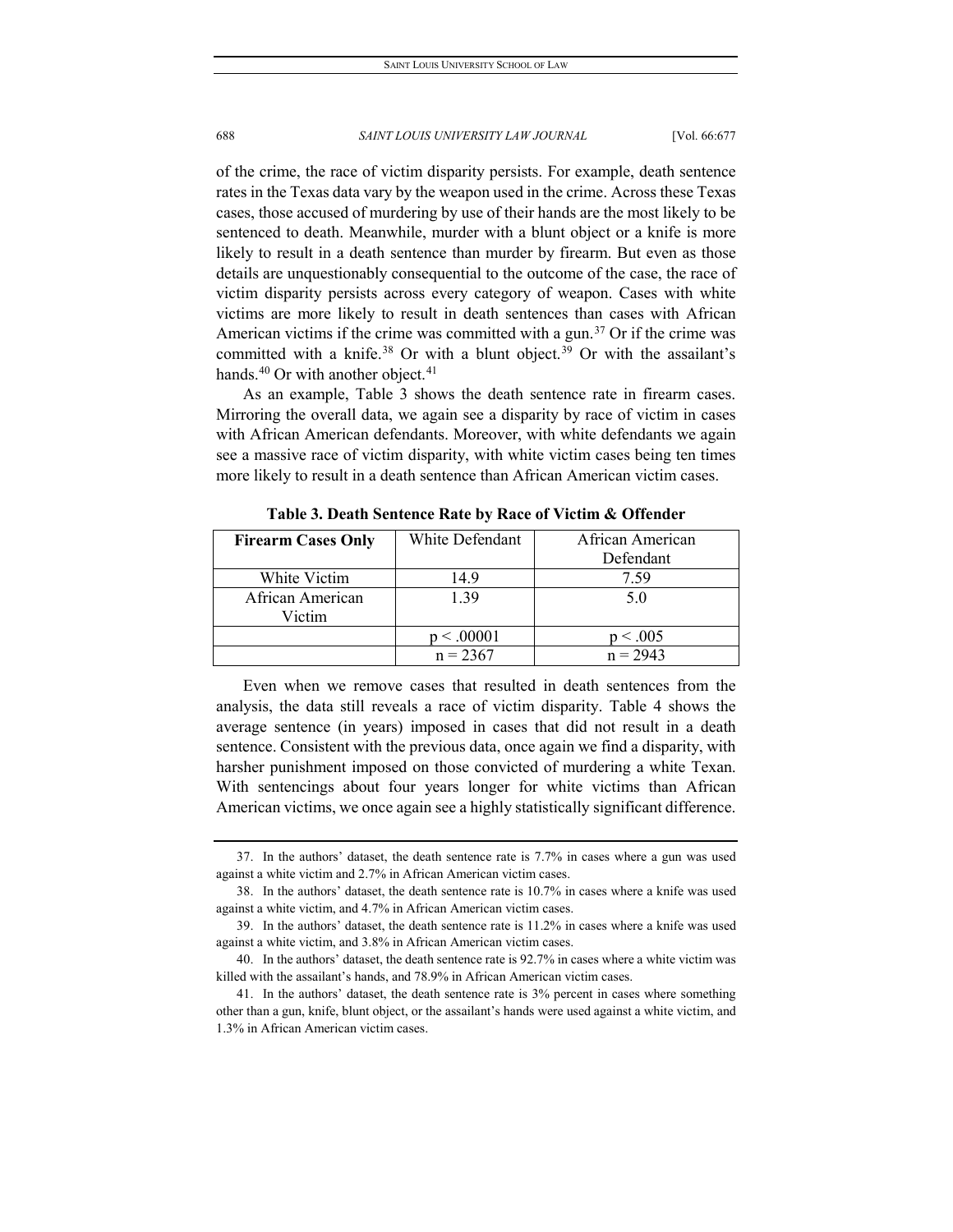of the crime, the race of victim disparity persists. For example, death sentence rates in the Texas data vary by the weapon used in the crime. Across these Texas cases, those accused of murdering by use of their hands are the most likely to be sentenced to death. Meanwhile, murder with a blunt object or a knife is more likely to result in a death sentence than murder by firearm. But even as those details are unquestionably consequential to the outcome of the case, the race of victim disparity persists across every category of weapon. Cases with white victims are more likely to result in death sentences than cases with African American victims if the crime was committed with a gun.<sup>[37](#page-12-0)</sup> Or if the crime was committed with a knife.<sup>[38](#page-12-1)</sup> Or with a blunt object.<sup>[39](#page-12-2)</sup> Or with the assailant's hands.<sup>[40](#page-12-3)</sup> Or with another object.<sup>[41](#page-12-4)</sup>

As an example, Table 3 shows the death sentence rate in firearm cases. Mirroring the overall data, we again see a disparity by race of victim in cases with African American defendants. Moreover, with white defendants we again see a massive race of victim disparity, with white victim cases being ten times more likely to result in a death sentence than African American victim cases.

| <b>Firearm Cases Only</b> | White Defendant | African American |
|---------------------------|-----------------|------------------|
|                           |                 | Defendant        |
| White Victim              | 14.9            | 7.59             |
| African American          | 1.39            | 5.0              |
| Victim                    |                 |                  |
|                           | p < .00001      | p < .005         |
|                           | $n = 2367$      | $n = 2943$       |

**Table 3. Death Sentence Rate by Race of Victim & Offender**

Even when we remove cases that resulted in death sentences from the analysis, the data still reveals a race of victim disparity. Table 4 shows the average sentence (in years) imposed in cases that did not result in a death sentence. Consistent with the previous data, once again we find a disparity, with harsher punishment imposed on those convicted of murdering a white Texan. With sentencings about four years longer for white victims than African American victims, we once again see a highly statistically significant difference.

<span id="page-12-0"></span><sup>37.</sup> In the authors' dataset, the death sentence rate is 7.7% in cases where a gun was used against a white victim and 2.7% in African American victim cases.

<span id="page-12-1"></span><sup>38.</sup> In the authors' dataset, the death sentence rate is 10.7% in cases where a knife was used against a white victim, and 4.7% in African American victim cases.

<span id="page-12-2"></span><sup>39.</sup> In the authors' dataset, the death sentence rate is 11.2% in cases where a knife was used against a white victim, and 3.8% in African American victim cases.

<span id="page-12-3"></span><sup>40.</sup> In the authors' dataset, the death sentence rate is 92.7% in cases where a white victim was killed with the assailant's hands, and 78.9% in African American victim cases.

<span id="page-12-4"></span><sup>41.</sup> In the authors' dataset, the death sentence rate is 3% percent in cases where something other than a gun, knife, blunt object, or the assailant's hands were used against a white victim, and 1.3% in African American victim cases.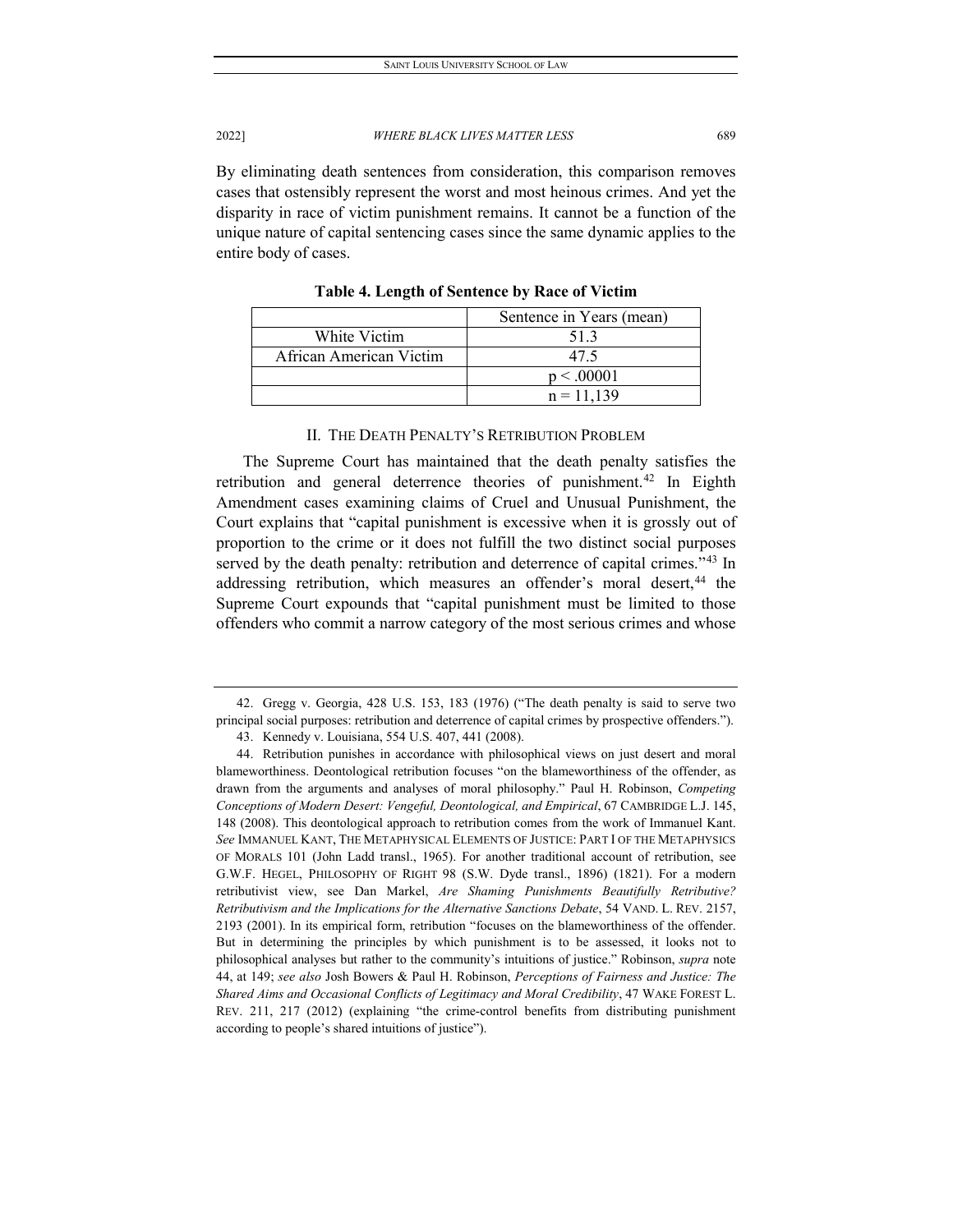By eliminating death sentences from consideration, this comparison removes cases that ostensibly represent the worst and most heinous crimes. And yet the disparity in race of victim punishment remains. It cannot be a function of the unique nature of capital sentencing cases since the same dynamic applies to the entire body of cases.

|                         | Sentence in Years (mean) |
|-------------------------|--------------------------|
| White Victim            | 51.3                     |
| African American Victim | 47.5                     |
|                         | p < .00001               |
|                         | $n = 11.139$             |

**Table 4. Length of Sentence by Race of Victim**

# II. THE DEATH PENALTY'S RETRIBUTION PROBLEM

The Supreme Court has maintained that the death penalty satisfies the retribution and general deterrence theories of punishment.<sup>[42](#page-13-0)</sup> In Eighth Amendment cases examining claims of Cruel and Unusual Punishment, the Court explains that "capital punishment is excessive when it is grossly out of proportion to the crime or it does not fulfill the two distinct social purposes served by the death penalty: retribution and deterrence of capital crimes."<sup>[43](#page-13-1)</sup> In addressing retribution, which measures an offender's moral desert,<sup>[44](#page-13-2)</sup> the Supreme Court expounds that "capital punishment must be limited to those offenders who commit a narrow category of the most serious crimes and whose

<span id="page-13-0"></span><sup>42.</sup> Gregg v. Georgia, 428 U.S. 153, 183 (1976) ("The death penalty is said to serve two principal social purposes: retribution and deterrence of capital crimes by prospective offenders.").

<sup>43.</sup> Kennedy v. Louisiana, 554 U.S. 407, 441 (2008).

<span id="page-13-2"></span><span id="page-13-1"></span><sup>44.</sup> Retribution punishes in accordance with philosophical views on just desert and moral blameworthiness. Deontological retribution focuses "on the blameworthiness of the offender, as drawn from the arguments and analyses of moral philosophy." Paul H. Robinson, *Competing Conceptions of Modern Desert: Vengeful, Deontological, and Empirical*, 67 CAMBRIDGE L.J. 145, 148 (2008). This deontological approach to retribution comes from the work of Immanuel Kant. *See* IMMANUEL KANT, THE METAPHYSICAL ELEMENTS OF JUSTICE: PART I OF THE METAPHYSICS OF MORALS 101 (John Ladd transl., 1965). For another traditional account of retribution, see G.W.F. HEGEL, PHILOSOPHY OF RIGHT 98 (S.W. Dyde transl., 1896) (1821). For a modern retributivist view, see Dan Markel, *Are Shaming Punishments Beautifully Retributive? Retributivism and the Implications for the Alternative Sanctions Debate*, 54 VAND. L. REV. 2157, 2193 (2001). In its empirical form, retribution "focuses on the blameworthiness of the offender. But in determining the principles by which punishment is to be assessed, it looks not to philosophical analyses but rather to the community's intuitions of justice." Robinson, *supra* note 44, at 149; *see also* Josh Bowers & Paul H. Robinson, *Perceptions of Fairness and Justice: The Shared Aims and Occasional Conflicts of Legitimacy and Moral Credibility*, 47 WAKE FOREST L. REV. 211, 217 (2012) (explaining "the crime-control benefits from distributing punishment according to people's shared intuitions of justice").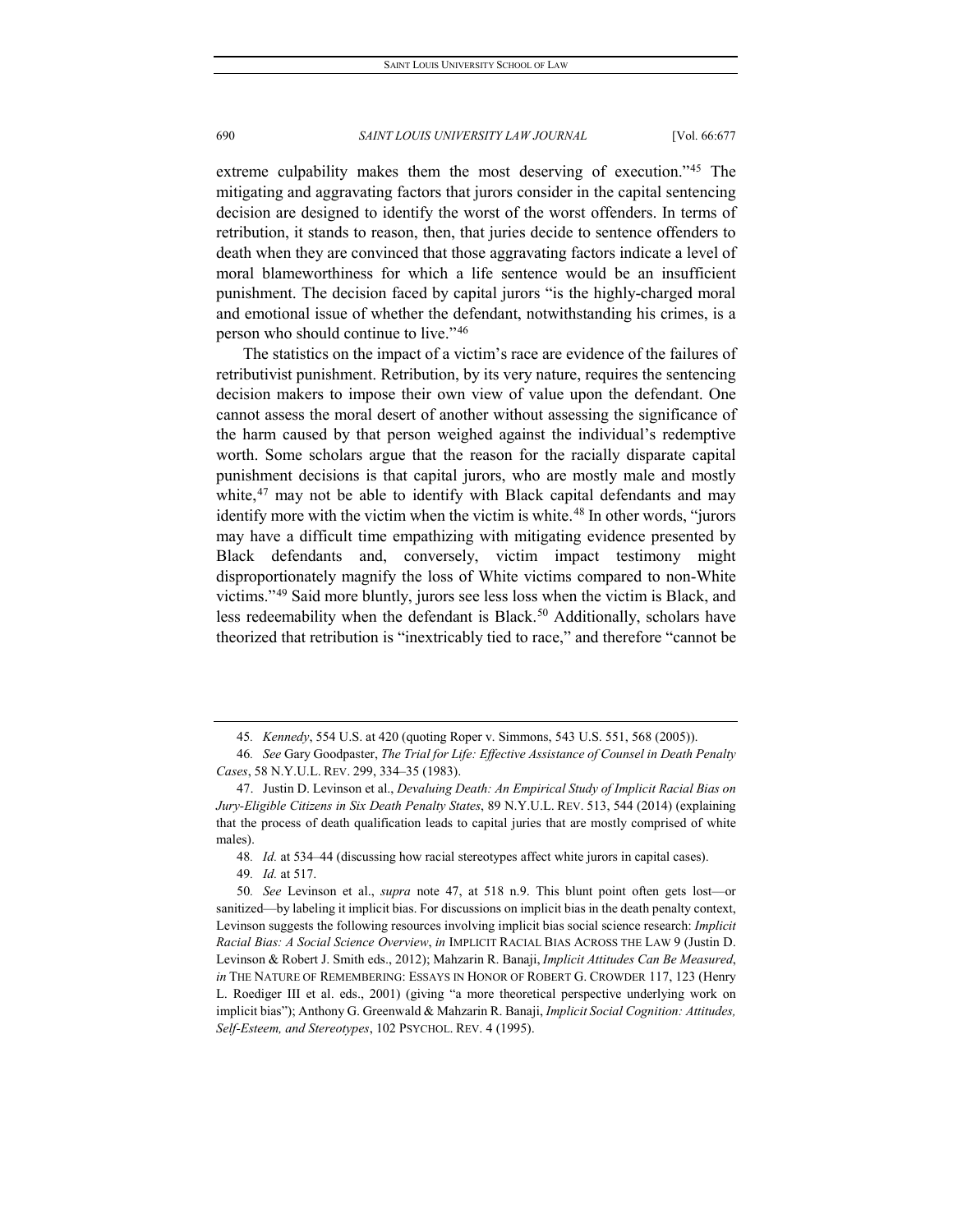extreme culpability makes them the most deserving of execution."[45](#page-14-0) The mitigating and aggravating factors that jurors consider in the capital sentencing decision are designed to identify the worst of the worst offenders. In terms of retribution, it stands to reason, then, that juries decide to sentence offenders to death when they are convinced that those aggravating factors indicate a level of moral blameworthiness for which a life sentence would be an insufficient punishment. The decision faced by capital jurors "is the highly-charged moral and emotional issue of whether the defendant, notwithstanding his crimes, is a person who should continue to live."[46](#page-14-1)

The statistics on the impact of a victim's race are evidence of the failures of retributivist punishment. Retribution, by its very nature, requires the sentencing decision makers to impose their own view of value upon the defendant. One cannot assess the moral desert of another without assessing the significance of the harm caused by that person weighed against the individual's redemptive worth. Some scholars argue that the reason for the racially disparate capital punishment decisions is that capital jurors, who are mostly male and mostly white, $47$  may not be able to identify with Black capital defendants and may identify more with the victim when the victim is white.<sup>[48](#page-14-3)</sup> In other words, "jurors may have a difficult time empathizing with mitigating evidence presented by Black defendants and, conversely, victim impact testimony might disproportionately magnify the loss of White victims compared to non-White victims."[49](#page-14-4) Said more bluntly, jurors see less loss when the victim is Black, and less redeemability when the defendant is Black.<sup>[50](#page-14-5)</sup> Additionally, scholars have theorized that retribution is "inextricably tied to race," and therefore "cannot be

<sup>45</sup>*. Kennedy*, 554 U.S. at 420 (quoting Roper v. Simmons, 543 U.S. 551, 568 (2005)).

<span id="page-14-1"></span><span id="page-14-0"></span><sup>46</sup>*. See* Gary Goodpaster, *The Trial for Life: Effective Assistance of Counsel in Death Penalty Cases*, 58 N.Y.U.L. REV. 299, 334–35 (1983).

<span id="page-14-2"></span><sup>47.</sup> Justin D. Levinson et al., *Devaluing Death: An Empirical Study of Implicit Racial Bias on Jury-Eligible Citizens in Six Death Penalty States*, 89 N.Y.U.L. REV. 513, 544 (2014) (explaining that the process of death qualification leads to capital juries that are mostly comprised of white males).

<sup>48</sup>*. Id.* at 534–44 (discussing how racial stereotypes affect white jurors in capital cases).

<sup>49</sup>*. Id.* at 517.

<span id="page-14-5"></span><span id="page-14-4"></span><span id="page-14-3"></span><sup>50</sup>*. See* Levinson et al., *supra* note 47, at 518 n.9. This blunt point often gets lost—or sanitized—by labeling it implicit bias. For discussions on implicit bias in the death penalty context, Levinson suggests the following resources involving implicit bias social science research: *Implicit Racial Bias: A Social Science Overview*, *in* IMPLICIT RACIAL BIAS ACROSS THE LAW 9 (Justin D. Levinson & Robert J. Smith eds., 2012); Mahzarin R. Banaji, *Implicit Attitudes Can Be Measured*, *in* THE NATURE OF REMEMBERING: ESSAYS IN HONOR OF ROBERT G. CROWDER 117, 123 (Henry L. Roediger III et al. eds., 2001) (giving "a more theoretical perspective underlying work on implicit bias"); Anthony G. Greenwald & Mahzarin R. Banaji, *Implicit Social Cognition: Attitudes, Self-Esteem, and Stereotypes*, 102 PSYCHOL. REV. 4 (1995).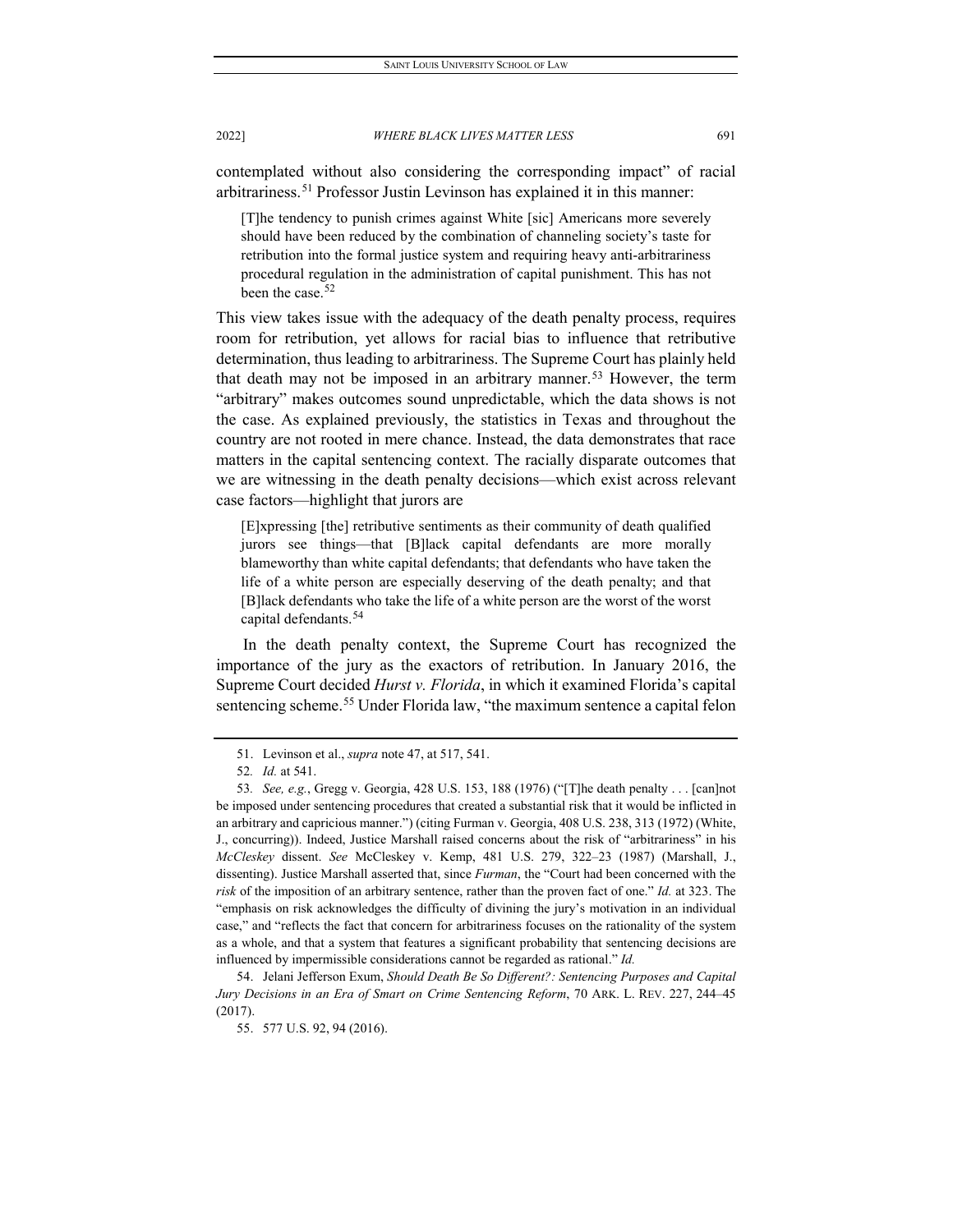contemplated without also considering the corresponding impact" of racial arbitrariness.[51](#page-15-0) Professor Justin Levinson has explained it in this manner:

[T]he tendency to punish crimes against White [sic] Americans more severely should have been reduced by the combination of channeling society's taste for retribution into the formal justice system and requiring heavy anti-arbitrariness procedural regulation in the administration of capital punishment. This has not been the case.<sup>[52](#page-15-1)</sup>

This view takes issue with the adequacy of the death penalty process, requires room for retribution, yet allows for racial bias to influence that retributive determination, thus leading to arbitrariness. The Supreme Court has plainly held that death may not be imposed in an arbitrary manner.<sup>[53](#page-15-2)</sup> However, the term "arbitrary" makes outcomes sound unpredictable, which the data shows is not the case. As explained previously, the statistics in Texas and throughout the country are not rooted in mere chance. Instead, the data demonstrates that race matters in the capital sentencing context. The racially disparate outcomes that we are witnessing in the death penalty decisions—which exist across relevant case factors—highlight that jurors are

[E]xpressing [the] retributive sentiments as their community of death qualified jurors see things—that [B]lack capital defendants are more morally blameworthy than white capital defendants; that defendants who have taken the life of a white person are especially deserving of the death penalty; and that [B]lack defendants who take the life of a white person are the worst of the worst capital defendants.<sup>[54](#page-15-3)</sup>

In the death penalty context, the Supreme Court has recognized the importance of the jury as the exactors of retribution. In January 2016, the Supreme Court decided *Hurst v. Florida*, in which it examined Florida's capital sentencing scheme.<sup>[55](#page-15-4)</sup> Under Florida law, "the maximum sentence a capital felon

<span id="page-15-4"></span><span id="page-15-3"></span>54. Jelani Jefferson Exum, *Should Death Be So Different?: Sentencing Purposes and Capital Jury Decisions in an Era of Smart on Crime Sentencing Reform*, 70 ARK. L. REV. 227, 244–45 (2017).

<sup>51.</sup> Levinson et al., *supra* note 47, at 517, 541.

<sup>52</sup>*. Id.* at 541.

<span id="page-15-2"></span><span id="page-15-1"></span><span id="page-15-0"></span><sup>53</sup>*. See, e.g.*, Gregg v. Georgia, 428 U.S. 153, 188 (1976) ("[T]he death penalty . . . [can]not be imposed under sentencing procedures that created a substantial risk that it would be inflicted in an arbitrary and capricious manner.") (citing Furman v. Georgia, 408 U.S. 238, 313 (1972) (White, J., concurring)). Indeed, Justice Marshall raised concerns about the risk of "arbitrariness" in his *McCleskey* dissent. *See* McCleskey v. Kemp, 481 U.S. 279, 322–23 (1987) (Marshall, J., dissenting). Justice Marshall asserted that, since *Furman*, the "Court had been concerned with the *risk* of the imposition of an arbitrary sentence, rather than the proven fact of one." *Id.* at 323. The "emphasis on risk acknowledges the difficulty of divining the jury's motivation in an individual case," and "reflects the fact that concern for arbitrariness focuses on the rationality of the system as a whole, and that a system that features a significant probability that sentencing decisions are influenced by impermissible considerations cannot be regarded as rational." *Id.*

<sup>55.</sup> 577 U.S. 92, 94 (2016).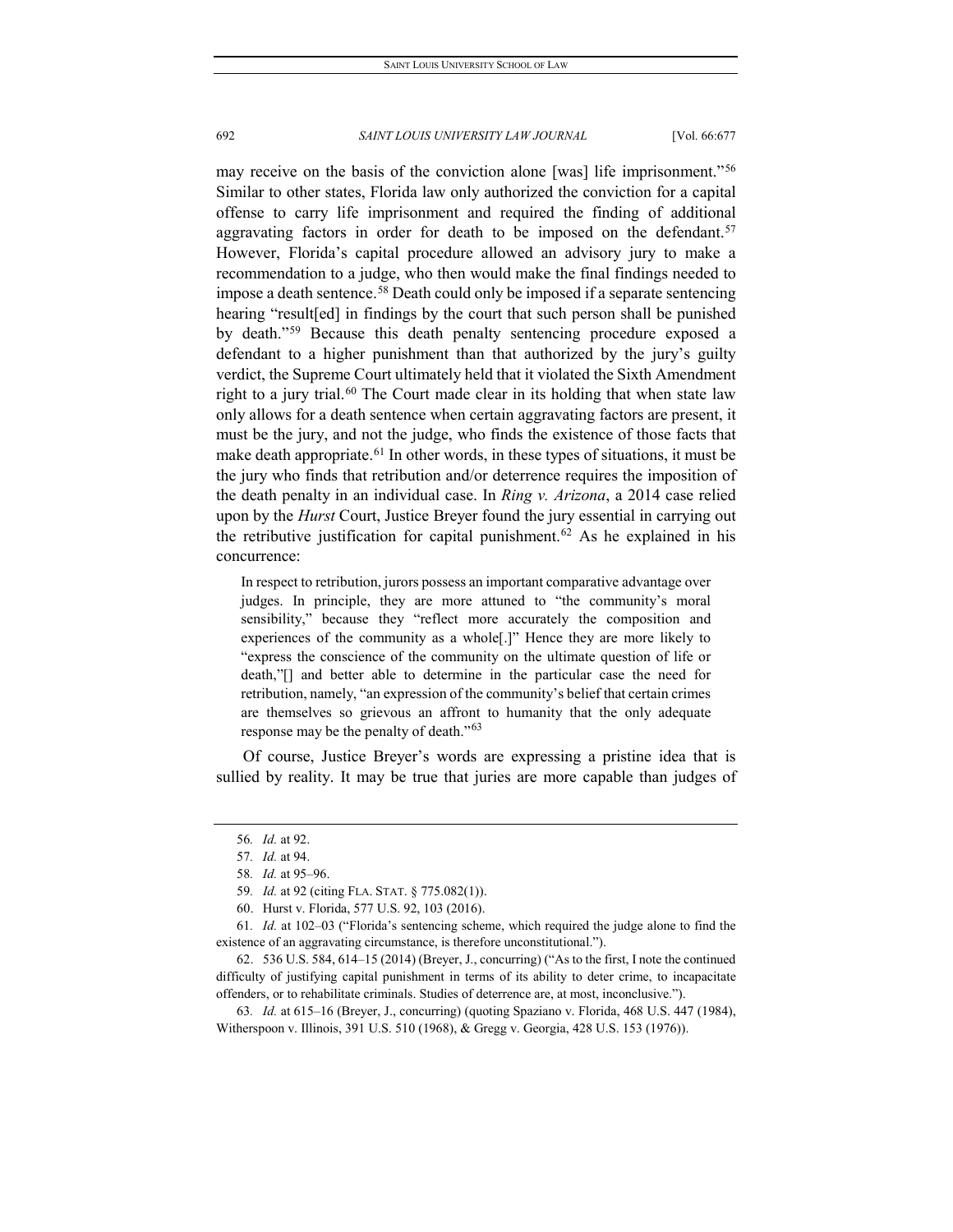may receive on the basis of the conviction alone [was] life imprisonment."[56](#page-16-0) Similar to other states, Florida law only authorized the conviction for a capital offense to carry life imprisonment and required the finding of additional aggravating factors in order for death to be imposed on the defendant.<sup>[57](#page-16-1)</sup> However, Florida's capital procedure allowed an advisory jury to make a recommendation to a judge, who then would make the final findings needed to impose a death sentence.<sup>[58](#page-16-2)</sup> Death could only be imposed if a separate sentencing hearing "result[ed] in findings by the court that such person shall be punished by death."[59](#page-16-3) Because this death penalty sentencing procedure exposed a defendant to a higher punishment than that authorized by the jury's guilty verdict, the Supreme Court ultimately held that it violated the Sixth Amendment right to a jury trial.<sup>[60](#page-16-4)</sup> The Court made clear in its holding that when state law only allows for a death sentence when certain aggravating factors are present, it must be the jury, and not the judge, who finds the existence of those facts that make death appropriate.<sup>[61](#page-16-5)</sup> In other words, in these types of situations, it must be the jury who finds that retribution and/or deterrence requires the imposition of the death penalty in an individual case. In *Ring v. Arizona*, a 2014 case relied upon by the *Hurst* Court, Justice Breyer found the jury essential in carrying out the retributive justification for capital punishment.<sup>[62](#page-16-6)</sup> As he explained in his concurrence:

In respect to retribution, jurors possess an important comparative advantage over judges. In principle, they are more attuned to "the community's moral sensibility," because they "reflect more accurately the composition and experiences of the community as a whole[.]" Hence they are more likely to "express the conscience of the community on the ultimate question of life or death,"[] and better able to determine in the particular case the need for retribution, namely, "an expression of the community's belief that certain crimes are themselves so grievous an affront to humanity that the only adequate response may be the penalty of death."<sup>[63](#page-16-7)</sup>

<span id="page-16-0"></span>Of course, Justice Breyer's words are expressing a pristine idea that is sullied by reality. It may be true that juries are more capable than judges of

<sup>56</sup>*. Id.* at 92.

<sup>57</sup>*. Id.* at 94.

<sup>58</sup>*. Id.* at 95–96.

<sup>59</sup>*. Id.* at 92 (citing FLA. STAT. § 775.082(1)).

<sup>60.</sup> Hurst v. Florida, 577 U.S. 92, 103 (2016).

<span id="page-16-5"></span><span id="page-16-4"></span><span id="page-16-3"></span><span id="page-16-2"></span><span id="page-16-1"></span><sup>61</sup>*. Id.* at 102–03 ("Florida's sentencing scheme, which required the judge alone to find the existence of an aggravating circumstance, is therefore unconstitutional.").

<span id="page-16-6"></span><sup>62.</sup> 536 U.S. 584, 614–15 (2014) (Breyer, J., concurring) ("As to the first, I note the continued difficulty of justifying capital punishment in terms of its ability to deter crime, to incapacitate offenders, or to rehabilitate criminals. Studies of deterrence are, at most, inconclusive.").

<span id="page-16-7"></span><sup>63</sup>*. Id.* at 615–16 (Breyer, J., concurring) (quoting Spaziano v. Florida, 468 U.S. 447 (1984), Witherspoon v. Illinois, 391 U.S. 510 (1968), & Gregg v. Georgia, 428 U.S. 153 (1976)).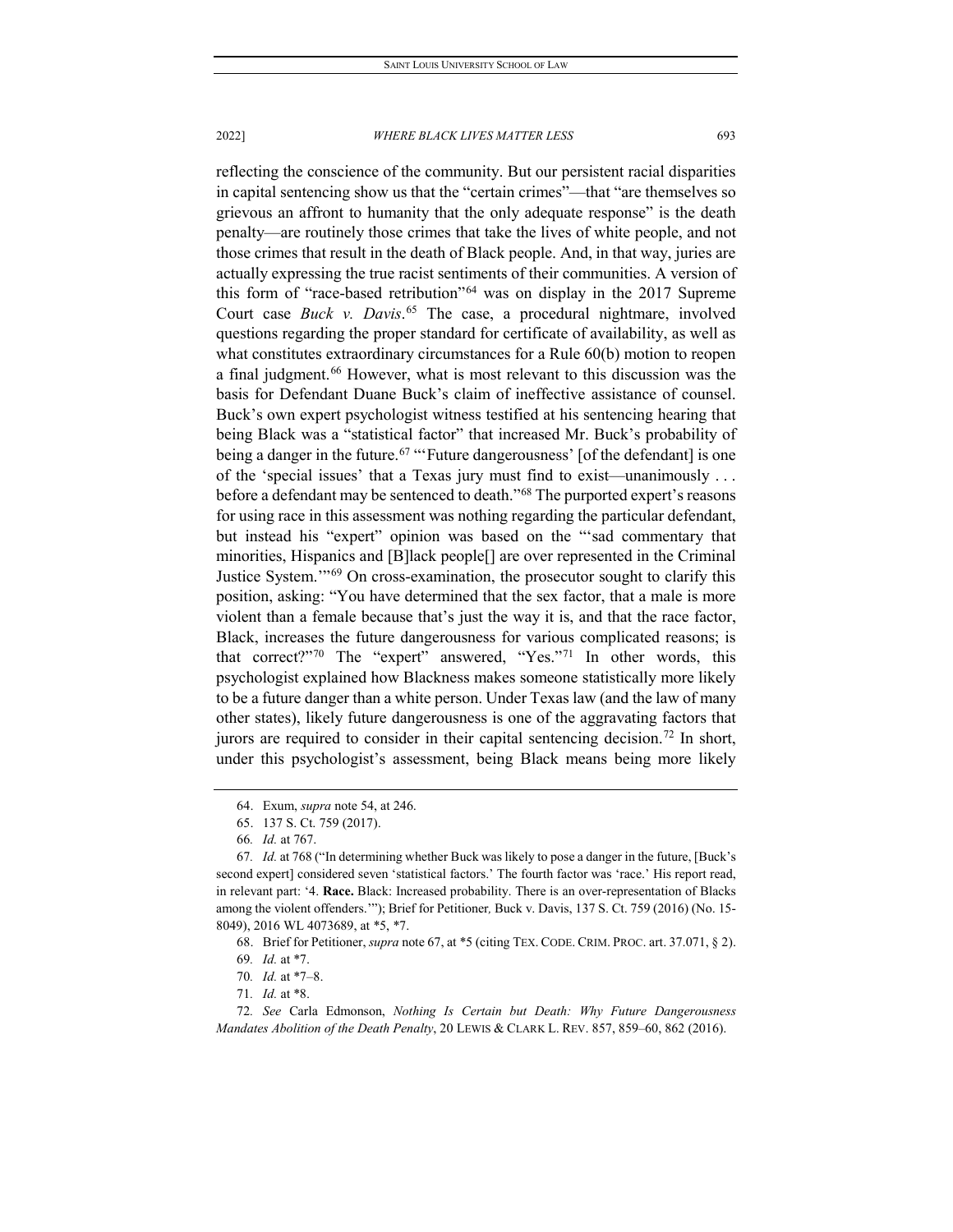reflecting the conscience of the community. But our persistent racial disparities in capital sentencing show us that the "certain crimes"—that "are themselves so grievous an affront to humanity that the only adequate response" is the death penalty—are routinely those crimes that take the lives of white people, and not those crimes that result in the death of Black people. And, in that way, juries are actually expressing the true racist sentiments of their communities. A version of this form of "race-based retribution"[64](#page-17-0) was on display in the 2017 Supreme Court case *Buck v. Davis*. [65](#page-17-1) The case, a procedural nightmare, involved questions regarding the proper standard for certificate of availability, as well as what constitutes extraordinary circumstances for a Rule 60(b) motion to reopen a final judgment.<sup>[66](#page-17-2)</sup> However, what is most relevant to this discussion was the basis for Defendant Duane Buck's claim of ineffective assistance of counsel. Buck's own expert psychologist witness testified at his sentencing hearing that being Black was a "statistical factor" that increased Mr. Buck's probability of being a danger in the future.<sup>[67](#page-17-3)</sup> "'Future dangerousness' [of the defendant] is one of the 'special issues' that a Texas jury must find to exist—unanimously . . . before a defendant may be sentenced to death."<sup>[68](#page-17-4)</sup> The purported expert's reasons for using race in this assessment was nothing regarding the particular defendant, but instead his "expert" opinion was based on the "'sad commentary that minorities, Hispanics and [B]lack people[] are over represented in the Criminal Justice System.'"[69](#page-17-5) On cross-examination, the prosecutor sought to clarify this position, asking: "You have determined that the sex factor, that a male is more violent than a female because that's just the way it is, and that the race factor, Black, increases the future dangerousness for various complicated reasons; is that correct?"[70](#page-17-6) The "expert" answered, "Yes."[71](#page-17-7) In other words, this psychologist explained how Blackness makes someone statistically more likely to be a future danger than a white person. Under Texas law (and the law of many other states), likely future dangerousness is one of the aggravating factors that jurors are required to consider in their capital sentencing decision.<sup>[72](#page-17-8)</sup> In short, under this psychologist's assessment, being Black means being more likely

68. Brief for Petitioner, *supra* note 67, at \*5 (citing TEX. CODE. CRIM. PROC. art. 37.071, § 2).

<sup>64.</sup> Exum, *supra* note 54, at 246.

<sup>65.</sup> 137 S. Ct. 759 (2017).

<sup>66</sup>*. Id.* at 767.

<span id="page-17-3"></span><span id="page-17-2"></span><span id="page-17-1"></span><span id="page-17-0"></span><sup>67</sup>*. Id.* at 768 ("In determining whether Buck was likely to pose a danger in the future, [Buck's second expert] considered seven 'statistical factors.' The fourth factor was 'race.' His report read, in relevant part: '4. **Race.** Black: Increased probability. There is an over-representation of Blacks among the violent offenders.'"); Brief for Petitioner*,* Buck v. Davis, 137 S. Ct. 759 (2016) (No. 15- 8049), 2016 WL 4073689, at \*5, \*7.

<sup>69</sup>*. Id.* at \*7.

<sup>70</sup>*. Id.* at \*7–8.

<sup>71</sup>*. Id.* at \*8.

<span id="page-17-8"></span><span id="page-17-7"></span><span id="page-17-6"></span><span id="page-17-5"></span><span id="page-17-4"></span><sup>72</sup>*. See* Carla Edmonson, *Nothing Is Certain but Death: Why Future Dangerousness Mandates Abolition of the Death Penalty*, 20 LEWIS & CLARK L. REV. 857, 859–60, 862 (2016).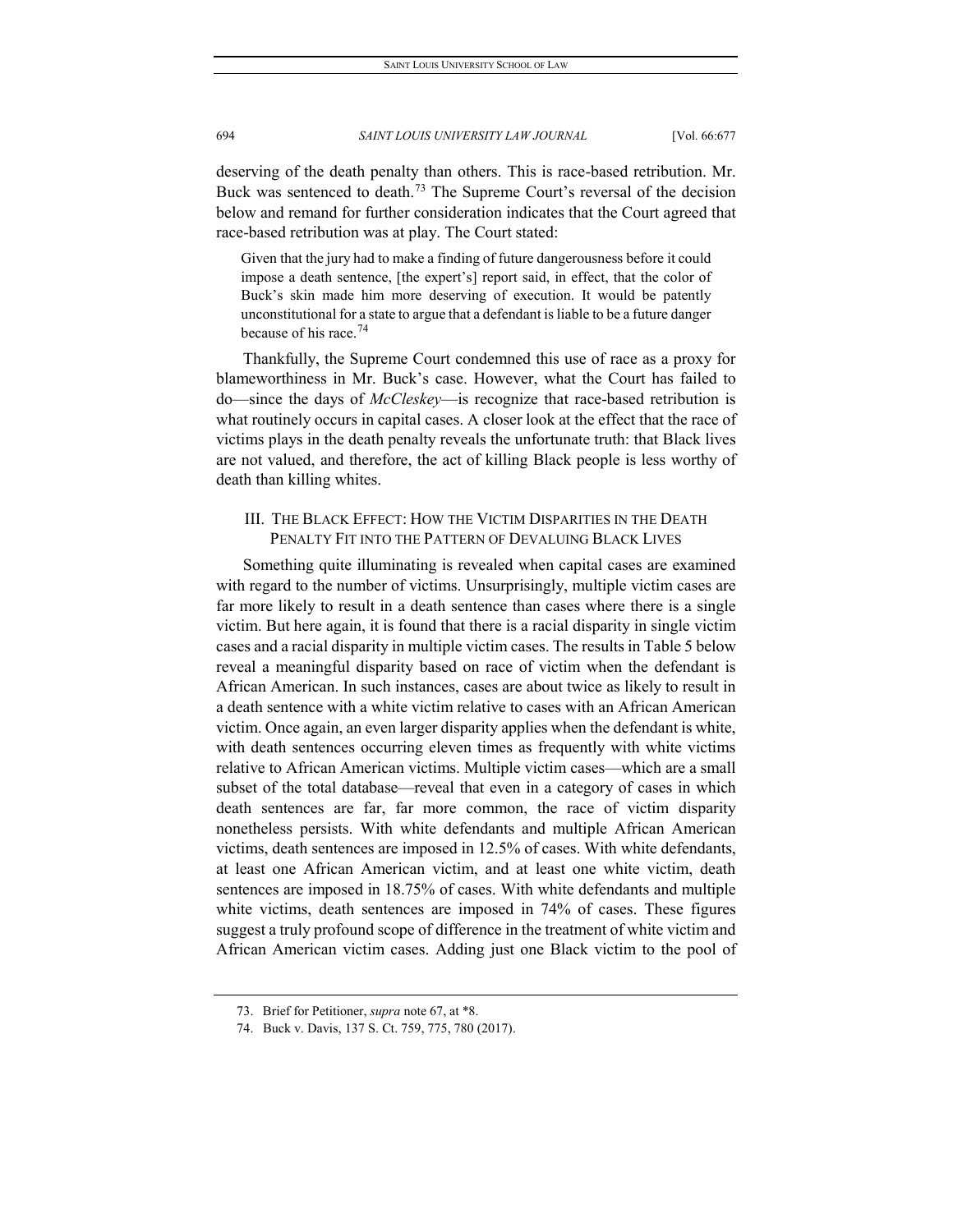deserving of the death penalty than others. This is race-based retribution. Mr. Buck was sentenced to death.<sup>[73](#page-18-0)</sup> The Supreme Court's reversal of the decision below and remand for further consideration indicates that the Court agreed that race-based retribution was at play. The Court stated:

Given that the jury had to make a finding of future dangerousness before it could impose a death sentence, [the expert's] report said, in effect, that the color of Buck's skin made him more deserving of execution. It would be patently unconstitutional for a state to argue that a defendant is liable to be a future danger because of his race.<sup>[74](#page-18-1)</sup>

Thankfully, the Supreme Court condemned this use of race as a proxy for blameworthiness in Mr. Buck's case. However, what the Court has failed to do—since the days of *McCleskey*—is recognize that race-based retribution is what routinely occurs in capital cases. A closer look at the effect that the race of victims plays in the death penalty reveals the unfortunate truth: that Black lives are not valued, and therefore, the act of killing Black people is less worthy of death than killing whites.

# III. THE BLACK EFFECT: HOW THE VICTIM DISPARITIES IN THE DEATH PENALTY FIT INTO THE PATTERN OF DEVALUING BLACK LIVES

Something quite illuminating is revealed when capital cases are examined with regard to the number of victims. Unsurprisingly, multiple victim cases are far more likely to result in a death sentence than cases where there is a single victim. But here again, it is found that there is a racial disparity in single victim cases and a racial disparity in multiple victim cases. The results in Table 5 below reveal a meaningful disparity based on race of victim when the defendant is African American. In such instances, cases are about twice as likely to result in a death sentence with a white victim relative to cases with an African American victim. Once again, an even larger disparity applies when the defendant is white, with death sentences occurring eleven times as frequently with white victims relative to African American victims. Multiple victim cases—which are a small subset of the total database—reveal that even in a category of cases in which death sentences are far, far more common, the race of victim disparity nonetheless persists. With white defendants and multiple African American victims, death sentences are imposed in 12.5% of cases. With white defendants, at least one African American victim, and at least one white victim, death sentences are imposed in 18.75% of cases. With white defendants and multiple white victims, death sentences are imposed in 74% of cases. These figures suggest a truly profound scope of difference in the treatment of white victim and African American victim cases. Adding just one Black victim to the pool of

<span id="page-18-0"></span><sup>73.</sup> Brief for Petitioner, *supra* note 67, at \*8.

<span id="page-18-1"></span><sup>74.</sup> Buck v. Davis, 137 S. Ct. 759, 775, 780 (2017).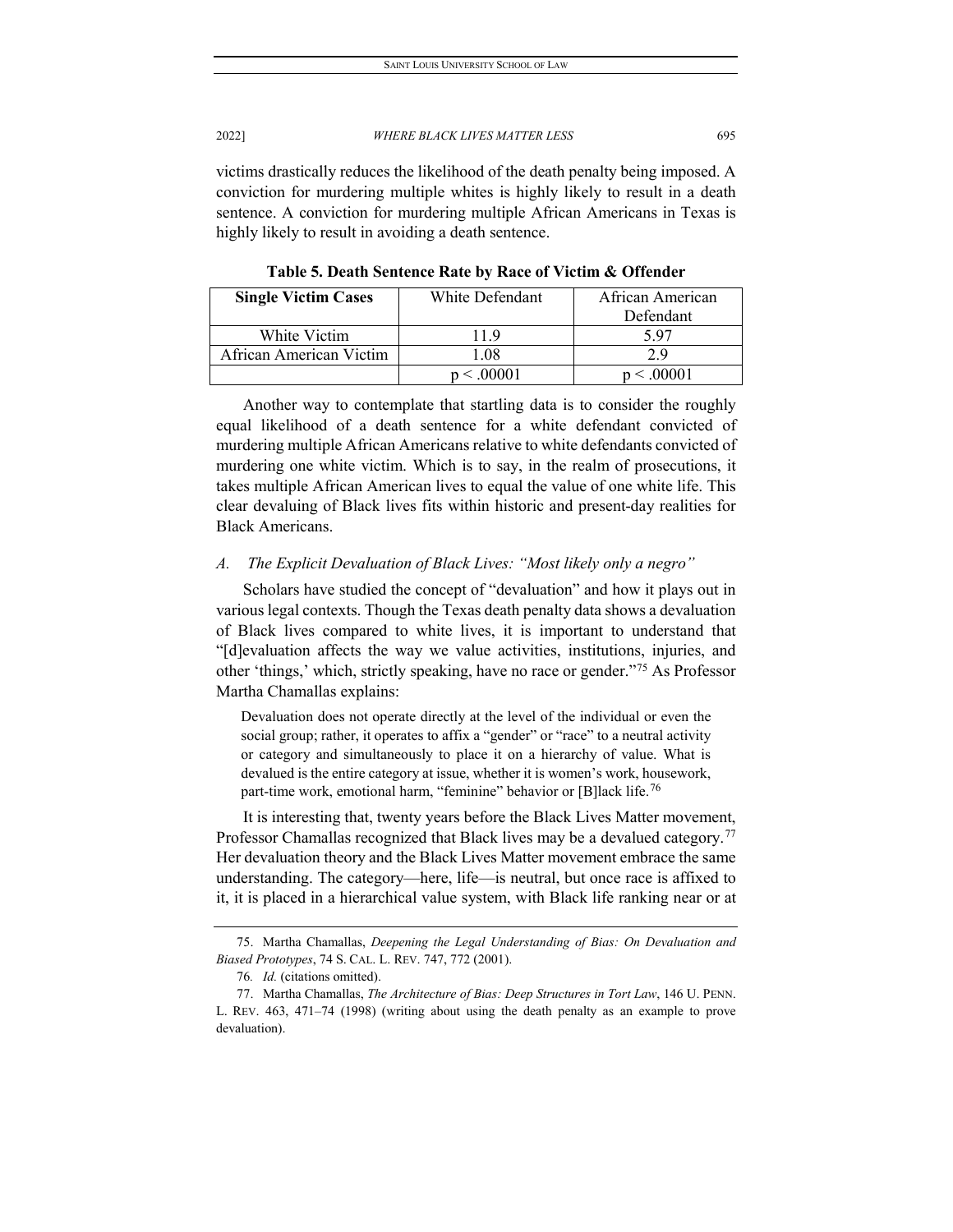victims drastically reduces the likelihood of the death penalty being imposed. A conviction for murdering multiple whites is highly likely to result in a death sentence. A conviction for murdering multiple African Americans in Texas is highly likely to result in avoiding a death sentence.

**Single Victim Cases** | White Defendant | African American Defendant White Victim 11.9 5.97 African American Victim | 1.08 2.9  $p < .00001$   $p < .00001$ 

**Table 5. Death Sentence Rate by Race of Victim & Offender**

Another way to contemplate that startling data is to consider the roughly equal likelihood of a death sentence for a white defendant convicted of murdering multiple African Americans relative to white defendants convicted of murdering one white victim. Which is to say, in the realm of prosecutions, it takes multiple African American lives to equal the value of one white life. This clear devaluing of Black lives fits within historic and present-day realities for Black Americans.

# *A. The Explicit Devaluation of Black Lives: "Most likely only a negro"*

Scholars have studied the concept of "devaluation" and how it plays out in various legal contexts. Though the Texas death penalty data shows a devaluation of Black lives compared to white lives, it is important to understand that "[d]evaluation affects the way we value activities, institutions, injuries, and other 'things,' which, strictly speaking, have no race or gender."[75](#page-19-0) As Professor Martha Chamallas explains:

Devaluation does not operate directly at the level of the individual or even the social group; rather, it operates to affix a "gender" or "race" to a neutral activity or category and simultaneously to place it on a hierarchy of value. What is devalued is the entire category at issue, whether it is women's work, housework, part-time work, emotional harm, "feminine" behavior or [B]lack life.<sup>[76](#page-19-1)</sup>

It is interesting that, twenty years before the Black Lives Matter movement, Professor Chamallas recognized that Black lives may be a devalued category.<sup>[77](#page-19-2)</sup> Her devaluation theory and the Black Lives Matter movement embrace the same understanding. The category—here, life—is neutral, but once race is affixed to it, it is placed in a hierarchical value system, with Black life ranking near or at

<span id="page-19-0"></span><sup>75.</sup> Martha Chamallas, *Deepening the Legal Understanding of Bias: On Devaluation and Biased Prototypes*, 74 S. CAL. L. REV. 747, 772 (2001).

<sup>76</sup>*. Id.* (citations omitted).

<span id="page-19-2"></span><span id="page-19-1"></span><sup>77.</sup> Martha Chamallas, *The Architecture of Bias: Deep Structures in Tort Law*, 146 U. PENN. L. REV. 463, 471–74 (1998) (writing about using the death penalty as an example to prove devaluation).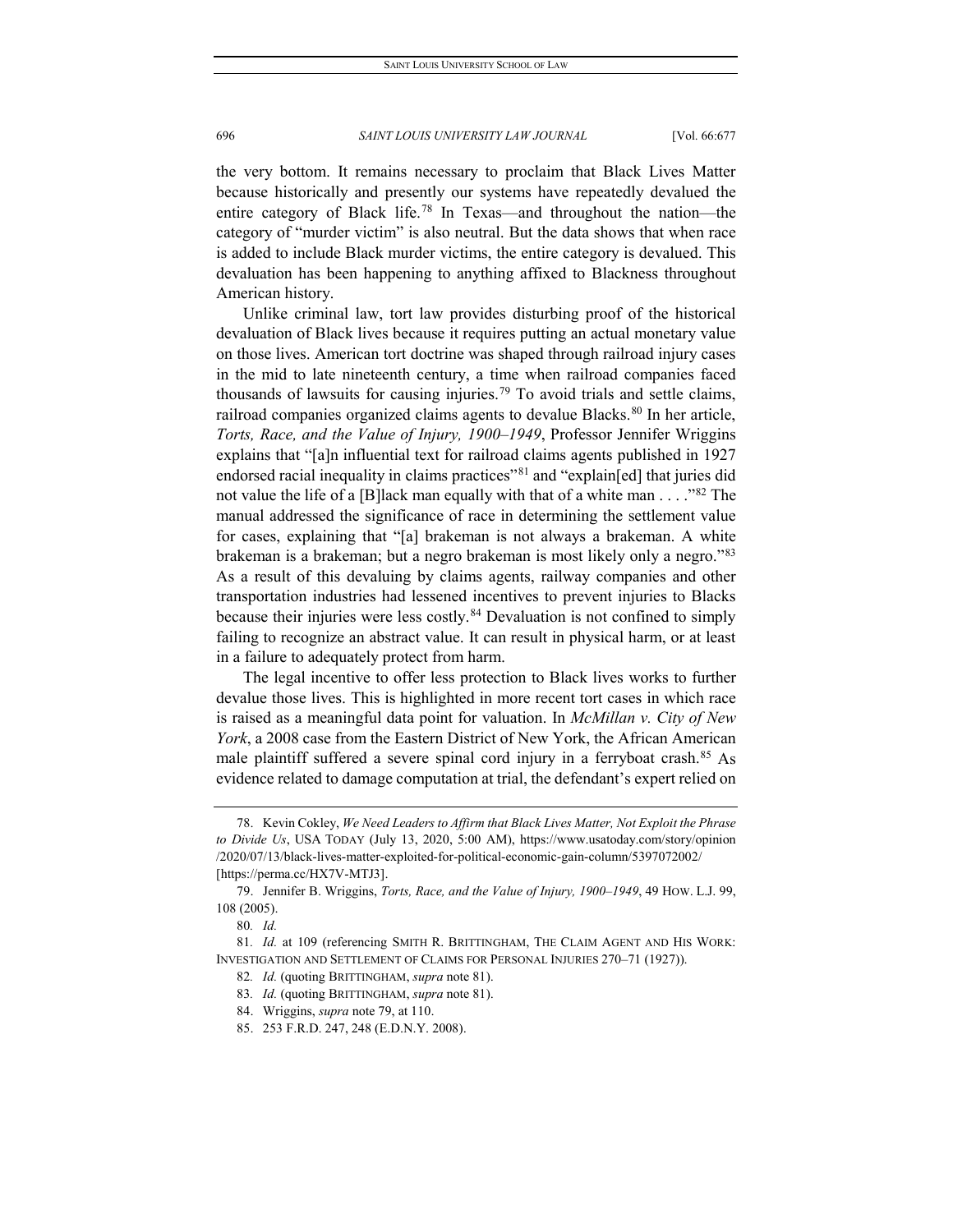the very bottom. It remains necessary to proclaim that Black Lives Matter because historically and presently our systems have repeatedly devalued the entire category of Black life.[78](#page-20-0) In Texas—and throughout the nation—the category of "murder victim" is also neutral. But the data shows that when race is added to include Black murder victims, the entire category is devalued. This devaluation has been happening to anything affixed to Blackness throughout American history.

Unlike criminal law, tort law provides disturbing proof of the historical devaluation of Black lives because it requires putting an actual monetary value on those lives. American tort doctrine was shaped through railroad injury cases in the mid to late nineteenth century, a time when railroad companies faced thousands of lawsuits for causing injuries.[79](#page-20-1) To avoid trials and settle claims, railroad companies organized claims agents to devalue Blacks.<sup>[80](#page-20-2)</sup> In her article, *Torts, Race, and the Value of Injury, 1900–1949*, Professor Jennifer Wriggins explains that "[a]n influential text for railroad claims agents published in 1927 endorsed racial inequality in claims practices"<sup>[81](#page-20-3)</sup> and "explain[ed] that juries did not value the life of a [B]lack man equally with that of a white man . . . . " $82$  The manual addressed the significance of race in determining the settlement value for cases, explaining that "[a] brakeman is not always a brakeman. A white brakeman is a brakeman; but a negro brakeman is most likely only a negro."<sup>[83](#page-20-5)</sup> As a result of this devaluing by claims agents, railway companies and other transportation industries had lessened incentives to prevent injuries to Blacks because their injuries were less costly.<sup>[84](#page-20-6)</sup> Devaluation is not confined to simply failing to recognize an abstract value. It can result in physical harm, or at least in a failure to adequately protect from harm.

The legal incentive to offer less protection to Black lives works to further devalue those lives. This is highlighted in more recent tort cases in which race is raised as a meaningful data point for valuation. In *McMillan v. City of New York*, a 2008 case from the Eastern District of New York, the African American male plaintiff suffered a severe spinal cord injury in a ferryboat crash.<sup>[85](#page-20-7)</sup> As evidence related to damage computation at trial, the defendant's expert relied on

<span id="page-20-0"></span><sup>78.</sup> Kevin Cokley, *We Need Leaders to Affirm that Black Lives Matter, Not Exploit the Phrase to Divide Us*, USA TODAY (July 13, 2020, 5:00 AM), https://www.usatoday.com/story/opinion /2020/07/13/black-lives-matter-exploited-for-political-economic-gain-column/5397072002/ [https://perma.cc/HX7V-MTJ3].

<span id="page-20-1"></span><sup>79.</sup> Jennifer B. Wriggins, *Torts, Race, and the Value of Injury, 1900–1949*, 49 HOW. L.J. 99, 108 (2005).

<sup>80</sup>*. Id.*

<span id="page-20-7"></span><span id="page-20-6"></span><span id="page-20-5"></span><span id="page-20-4"></span><span id="page-20-3"></span><span id="page-20-2"></span><sup>81</sup>*. Id.* at 109 (referencing SMITH R. BRITTINGHAM, THE CLAIM AGENT AND HIS WORK: INVESTIGATION AND SETTLEMENT OF CLAIMS FOR PERSONAL INJURIES 270–71 (1927)).

<sup>82</sup>*. Id.* (quoting BRITTINGHAM, *supra* note 81).

<sup>83</sup>*. Id.* (quoting BRITTINGHAM, *supra* note 81).

<sup>84.</sup> Wriggins, *supra* note 79, at 110.

<sup>85.</sup> 253 F.R.D. 247, 248 (E.D.N.Y. 2008).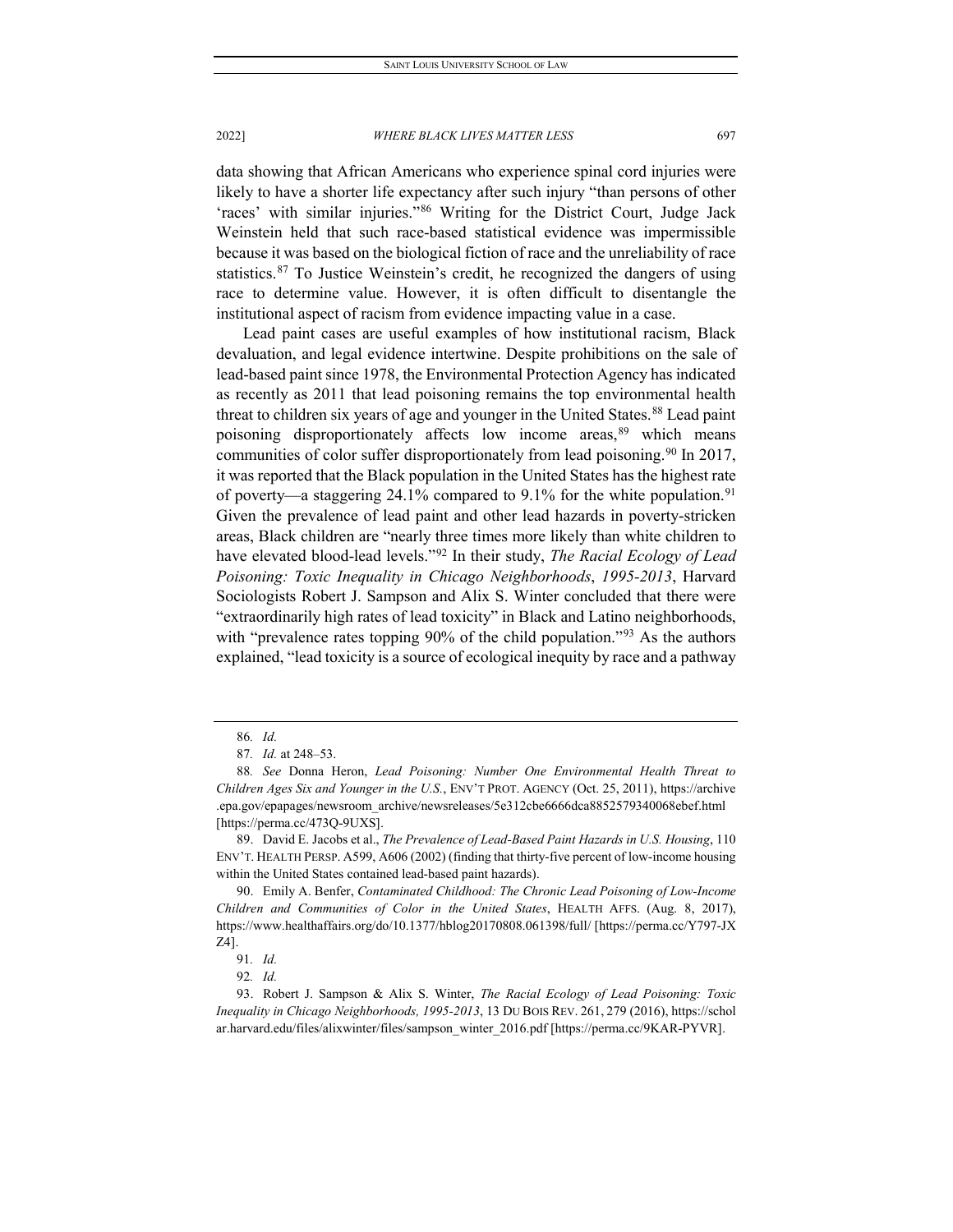data showing that African Americans who experience spinal cord injuries were likely to have a shorter life expectancy after such injury "than persons of other 'races' with similar injuries."[86](#page-21-0) Writing for the District Court, Judge Jack Weinstein held that such race-based statistical evidence was impermissible because it was based on the biological fiction of race and the unreliability of race statistics. $87$  To Justice Weinstein's credit, he recognized the dangers of using race to determine value. However, it is often difficult to disentangle the institutional aspect of racism from evidence impacting value in a case.

Lead paint cases are useful examples of how institutional racism, Black devaluation, and legal evidence intertwine. Despite prohibitions on the sale of lead-based paint since 1978, the Environmental Protection Agency has indicated as recently as 2011 that lead poisoning remains the top environmental health threat to children six years of age and younger in the United States.<sup>[88](#page-21-2)</sup> Lead paint poisoning disproportionately affects low income areas,<sup>[89](#page-21-3)</sup> which means communities of color suffer disproportionately from lead poisoning.<sup>[90](#page-21-4)</sup> In 2017, it was reported that the Black population in the United States has the highest rate of poverty—a staggering 24.1% compared to 9.1% for the white population.<sup>[91](#page-21-5)</sup> Given the prevalence of lead paint and other lead hazards in poverty-stricken areas, Black children are "nearly three times more likely than white children to have elevated blood-lead levels."[92](#page-21-6) In their study, *The Racial Ecology of Lead Poisoning: Toxic Inequality in Chicago Neighborhoods*, *1995-2013*, Harvard Sociologists Robert J. Sampson and Alix S. Winter concluded that there were "extraordinarily high rates of lead toxicity" in Black and Latino neighborhoods, with "prevalence rates topping 90% of the child population."<sup>[93](#page-21-7)</sup> As the authors explained, "lead toxicity is a source of ecological inequity by race and a pathway

<sup>86</sup>*. Id.*

<sup>87</sup>*. Id.* at 248–53.

<span id="page-21-2"></span><span id="page-21-1"></span><span id="page-21-0"></span><sup>88</sup>*. See* Donna Heron, *Lead Poisoning: Number One Environmental Health Threat to Children Ages Six and Younger in the U.S.*, ENV'T PROT. AGENCY (Oct. 25, 2011), https://archive .epa.gov/epapages/newsroom\_archive/newsreleases/5e312cbe6666dca8852579340068ebef.html [https://perma.cc/473Q-9UXS].

<span id="page-21-3"></span><sup>89.</sup> David E. Jacobs et al., *The Prevalence of Lead-Based Paint Hazards in U.S. Housing*, 110 ENV'T. HEALTH PERSP. A599, A606 (2002) (finding that thirty-five percent of low-income housing within the United States contained lead-based paint hazards).

<span id="page-21-4"></span><sup>90.</sup> Emily A. Benfer, *Contaminated Childhood: The Chronic Lead Poisoning of Low-Income Children and Communities of Color in the United States*, HEALTH AFFS. (Aug. 8, 2017), https://www.healthaffairs.org/do/10.1377/hblog20170808.061398/full/ [https://perma.cc/Y797-JX Z4].

<sup>91</sup>*. Id.*

<sup>92</sup>*. Id.*

<span id="page-21-7"></span><span id="page-21-6"></span><span id="page-21-5"></span><sup>93.</sup> Robert J. Sampson & Alix S. Winter, *The Racial Ecology of Lead Poisoning: Toxic Inequality in Chicago Neighborhoods, 1995-2013*, 13 DU BOIS REV. 261, 279 (2016), https://schol ar.harvard.edu/files/alixwinter/files/sampson\_winter\_2016.pdf [https://perma.cc/9KAR-PYVR].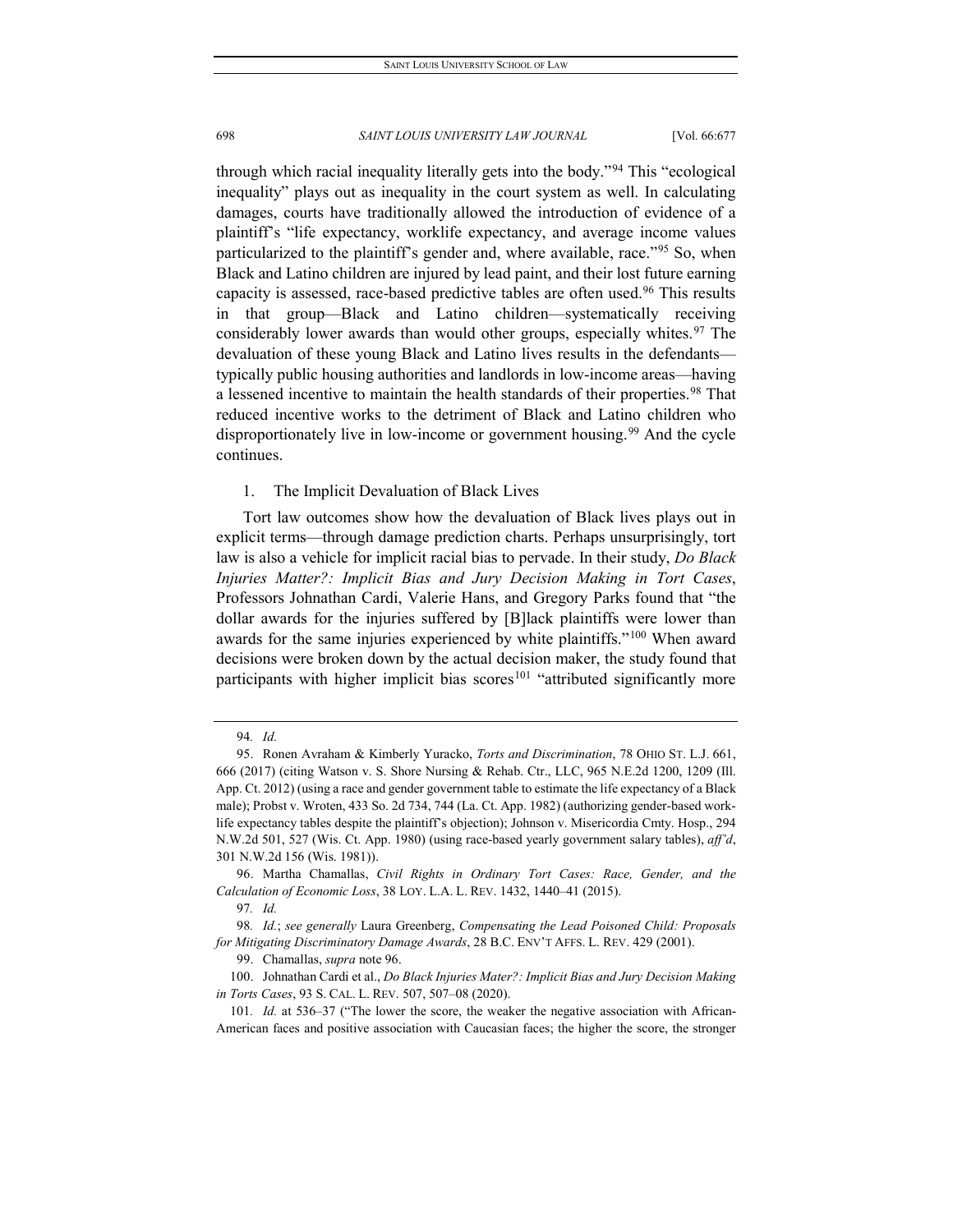through which racial inequality literally gets into the body."[94](#page-22-0) This "ecological inequality" plays out as inequality in the court system as well. In calculating damages, courts have traditionally allowed the introduction of evidence of a plaintiff's "life expectancy, worklife expectancy, and average income values particularized to the plaintiff's gender and, where available, race."[95](#page-22-1) So, when Black and Latino children are injured by lead paint, and their lost future earning capacity is assessed, race-based predictive tables are often used.[96](#page-22-2) This results in that group—Black and Latino children—systematically receiving considerably lower awards than would other groups, especially whites.<sup>[97](#page-22-3)</sup> The devaluation of these young Black and Latino lives results in the defendants typically public housing authorities and landlords in low-income areas—having a lessened incentive to maintain the health standards of their properties.<sup>[98](#page-22-4)</sup> That reduced incentive works to the detriment of Black and Latino children who disproportionately live in low-income or government housing.<sup>[99](#page-22-5)</sup> And the cycle continues.

#### 1. The Implicit Devaluation of Black Lives

Tort law outcomes show how the devaluation of Black lives plays out in explicit terms—through damage prediction charts. Perhaps unsurprisingly, tort law is also a vehicle for implicit racial bias to pervade. In their study, *Do Black Injuries Matter?: Implicit Bias and Jury Decision Making in Tort Cases*, Professors Johnathan Cardi, Valerie Hans, and Gregory Parks found that "the dollar awards for the injuries suffered by [B]lack plaintiffs were lower than awards for the same injuries experienced by white plaintiffs."[100](#page-22-6) When award decisions were broken down by the actual decision maker, the study found that participants with higher implicit bias scores<sup>[101](#page-22-7)</sup> "attributed significantly more

97*. Id.*

99. Chamallas, *supra* note 96.

<sup>94</sup>*. Id.*

<span id="page-22-1"></span><span id="page-22-0"></span><sup>95.</sup> Ronen Avraham & Kimberly Yuracko, *Torts and Discrimination*, 78 OHIO ST. L.J. 661, 666 (2017) (citing Watson v. S. Shore Nursing & Rehab. Ctr., LLC, 965 N.E.2d 1200, 1209 (Ill. App. Ct. 2012) (using a race and gender government table to estimate the life expectancy of a Black male)[; Probst v. Wroten, 433 So. 2d 734, 744 \(La. Ct. App. 1982\)](https://1.next.westlaw.com/Link/Document/FullText?findType=Y&serNum=1982154312&pubNum=0000735&originatingDoc=I5f3dad46c35611e79bef99c0ee06c731&refType=RP&fi=co_pp_sp_735_744&originationContext=document&transitionType=DocumentItem&contextData=(sc.UserEnteredCitation)#co_pp_sp_735_744) (authorizing gender-based worklife expectancy tables despite the plaintiff's objection); Johnson v. Misericordia Cmty. Hosp., 294 N.W.2d 501, 527 (Wis. Ct. App. 1980) (using race-based yearly government salary tables), *aff'd*, 301 N.W.2d 156 (Wis. 1981)).

<span id="page-22-2"></span><sup>96.</sup> Martha Chamallas, *Civil Rights in Ordinary Tort Cases: Race, Gender, and the Calculation of Economic Loss*, 38 LOY. L.A. L. REV. 1432, 1440–41 (2015).

<span id="page-22-5"></span><span id="page-22-4"></span><span id="page-22-3"></span><sup>98</sup>*. Id.*; *see generally* Laura Greenberg, *Compensating the Lead Poisoned Child: Proposals for Mitigating Discriminatory Damage Awards*, 28 B.C. ENV'T AFFS. L. REV. 429 (2001).

<span id="page-22-6"></span><sup>100.</sup> Johnathan Cardi et al., *Do Black Injuries Mater?: Implicit Bias and Jury Decision Making in Torts Cases*, 93 S. CAL. L. REV. 507, 507–08 (2020).

<span id="page-22-7"></span><sup>101</sup>*. Id.* at 536–37 ("The lower the score, the weaker the negative association with African-American faces and positive association with Caucasian faces; the higher the score, the stronger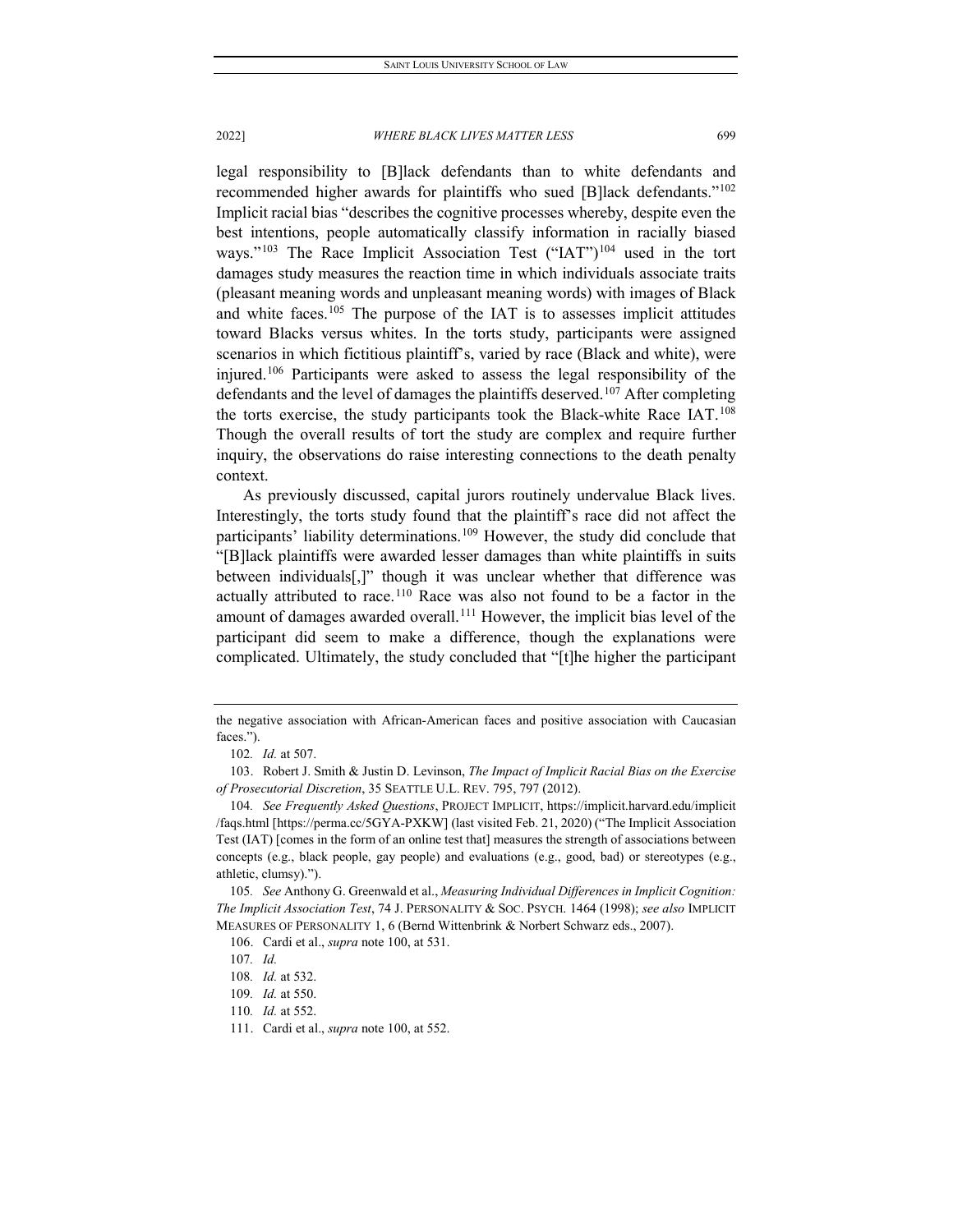legal responsibility to [B]lack defendants than to white defendants and recommended higher awards for plaintiffs who sued [B]lack defendants.["102](#page-23-0) Implicit racial bias "describes the cognitive processes whereby, despite even the best intentions, people automatically classify information in racially biased ways."<sup>[103](#page-23-1)</sup> The Race Implicit Association Test ("IAT")<sup>[104](#page-23-2)</sup> used in the tort damages study measures the reaction time in which individuals associate traits (pleasant meaning words and unpleasant meaning words) with images of Black and white faces.<sup>[105](#page-23-3)</sup> The purpose of the IAT is to assesses implicit attitudes toward Blacks versus whites. In the torts study, participants were assigned scenarios in which fictitious plaintiff's, varied by race (Black and white), were injured.<sup>[106](#page-23-4)</sup> Participants were asked to assess the legal responsibility of the defendants and the level of damages the plaintiffs deserved.<sup>[107](#page-23-5)</sup> After completing the torts exercise, the study participants took the Black-white Race IAT.[108](#page-23-6) Though the overall results of tort the study are complex and require further inquiry, the observations do raise interesting connections to the death penalty context.

As previously discussed, capital jurors routinely undervalue Black lives. Interestingly, the torts study found that the plaintiff's race did not affect the participants' liability determinations.<sup>[109](#page-23-7)</sup> However, the study did conclude that "[B]lack plaintiffs were awarded lesser damages than white plaintiffs in suits between individuals[,]" though it was unclear whether that difference was actually attributed to race.<sup>[110](#page-23-8)</sup> Race was also not found to be a factor in the amount of damages awarded overall.<sup>[111](#page-23-9)</sup> However, the implicit bias level of the participant did seem to make a difference, though the explanations were complicated. Ultimately, the study concluded that "[t]he higher the participant

the negative association with African-American faces and positive association with Caucasian faces.").

<sup>102</sup>*. Id.* at 507.

<span id="page-23-1"></span><span id="page-23-0"></span><sup>103.</sup> Robert J. Smith & Justin D. Levinson, *The Impact of Implicit Racial Bias on the Exercise of Prosecutorial Discretion*, 35 SEATTLE U.L. REV. 795, 797 (2012).

<span id="page-23-2"></span><sup>104</sup>*. See Frequently Asked Questions*, PROJECT IMPLICIT, https://implicit.harvard.edu/implicit /faqs.html [https://perma.cc/5GYA-PXKW] (last visited Feb. 21, 2020) ("The Implicit Association Test (IAT) [comes in the form of an online test that] measures the strength of associations between concepts (e.g., black people, gay people) and evaluations (e.g., good, bad) or stereotypes (e.g., athletic, clumsy).").

<span id="page-23-5"></span><span id="page-23-4"></span><span id="page-23-3"></span><sup>105</sup>*. See* Anthony G. Greenwald et al., *Measuring Individual Differences in Implicit Cognition: The Implicit Association Test*, 74 J. PERSONALITY & SOC. PSYCH. 1464 (1998); *see also* IMPLICIT MEASURES OF PERSONALITY 1, 6 (Bernd Wittenbrink & Norbert Schwarz eds., 2007).

<sup>106.</sup> Cardi et al., *supra* note 100, at 531.

<sup>107</sup>*. Id.*

<span id="page-23-6"></span><sup>108</sup>*. Id.* at 532.

<span id="page-23-7"></span><sup>109</sup>*. Id.* at 550.

<span id="page-23-8"></span><sup>110</sup>*. Id.* at 552.

<span id="page-23-9"></span><sup>111.</sup> Cardi et al., *supra* note 100, at 552.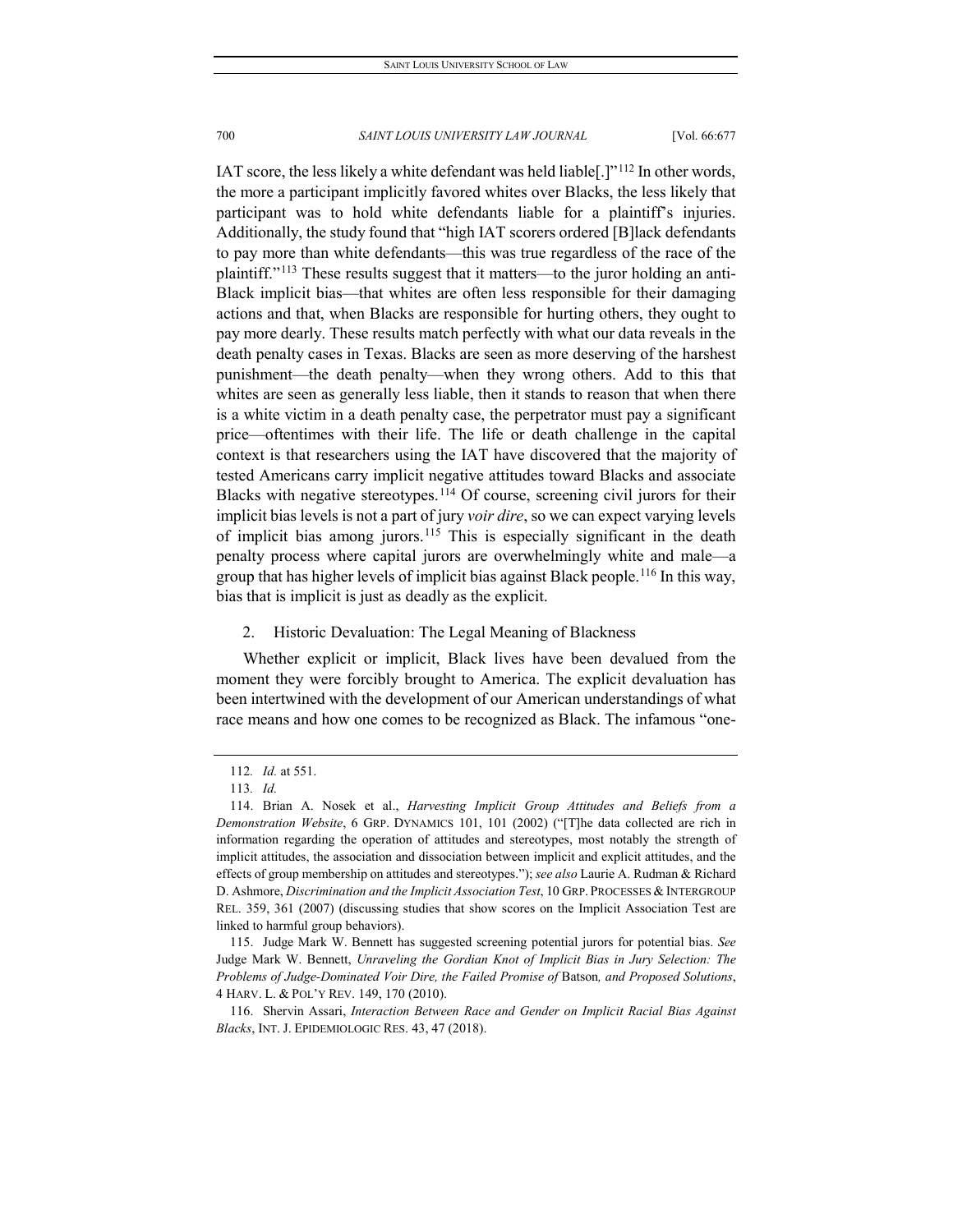IAT score, the less likely a white defendant was held liable[.]"[112](#page-24-0) In other words, the more a participant implicitly favored whites over Blacks, the less likely that participant was to hold white defendants liable for a plaintiff's injuries. Additionally, the study found that "high IAT scorers ordered [B]lack defendants to pay more than white defendants—this was true regardless of the race of the plaintiff."[113](#page-24-1) These results suggest that it matters—to the juror holding an anti-Black implicit bias—that whites are often less responsible for their damaging actions and that, when Blacks are responsible for hurting others, they ought to pay more dearly. These results match perfectly with what our data reveals in the death penalty cases in Texas. Blacks are seen as more deserving of the harshest punishment—the death penalty—when they wrong others. Add to this that whites are seen as generally less liable, then it stands to reason that when there is a white victim in a death penalty case, the perpetrator must pay a significant price—oftentimes with their life. The life or death challenge in the capital context is that researchers using the IAT have discovered that the majority of tested Americans carry implicit negative attitudes toward Blacks and associate Blacks with negative stereotypes.<sup>[114](#page-24-2)</sup> Of course, screening civil jurors for their implicit bias levels is not a part of jury *voir dire*, so we can expect varying levels of implicit bias among jurors.[115](#page-24-3) This is especially significant in the death penalty process where capital jurors are overwhelmingly white and male—a group that has higher levels of implicit bias against Black people.<sup>[116](#page-24-4)</sup> In this way, bias that is implicit is just as deadly as the explicit.

# 2. Historic Devaluation: The Legal Meaning of Blackness

Whether explicit or implicit, Black lives have been devalued from the moment they were forcibly brought to America. The explicit devaluation has been intertwined with the development of our American understandings of what race means and how one comes to be recognized as Black. The infamous "one-

<sup>112</sup>*. Id.* at 551.

<sup>113</sup>*. Id.*

<span id="page-24-2"></span><span id="page-24-1"></span><span id="page-24-0"></span><sup>114.</sup> Brian A. Nosek et al., *Harvesting Implicit Group Attitudes and Beliefs from a Demonstration Website*, 6 GRP. DYNAMICS 101, 101 (2002) ("[T]he data collected are rich in information regarding the operation of attitudes and stereotypes, most notably the strength of implicit attitudes, the association and dissociation between implicit and explicit attitudes, and the effects of group membership on attitudes and stereotypes."); *see also* Laurie A. Rudman & Richard D. Ashmore, *Discrimination and the Implicit Association Test*, 10 GRP. PROCESSES & INTERGROUP REL. 359, 361 (2007) (discussing studies that show scores on the Implicit Association Test are linked to harmful group behaviors).

<span id="page-24-3"></span><sup>115.</sup> Judge Mark W. Bennett has suggested screening potential jurors for potential bias. *See* Judge Mark W. Bennett, *Unraveling the Gordian Knot of Implicit Bias in Jury Selection: The Problems of Judge-Dominated Voir Dire, the Failed Promise of* Batson*, and Proposed Solutions*, 4 HARV. L. & POL'Y REV. 149, 170 (2010).

<span id="page-24-4"></span><sup>116.</sup> Shervin Assari, *Interaction Between Race and Gender on Implicit Racial Bias Against Blacks*, INT. J. EPIDEMIOLOGIC RES. 43, 47 (2018).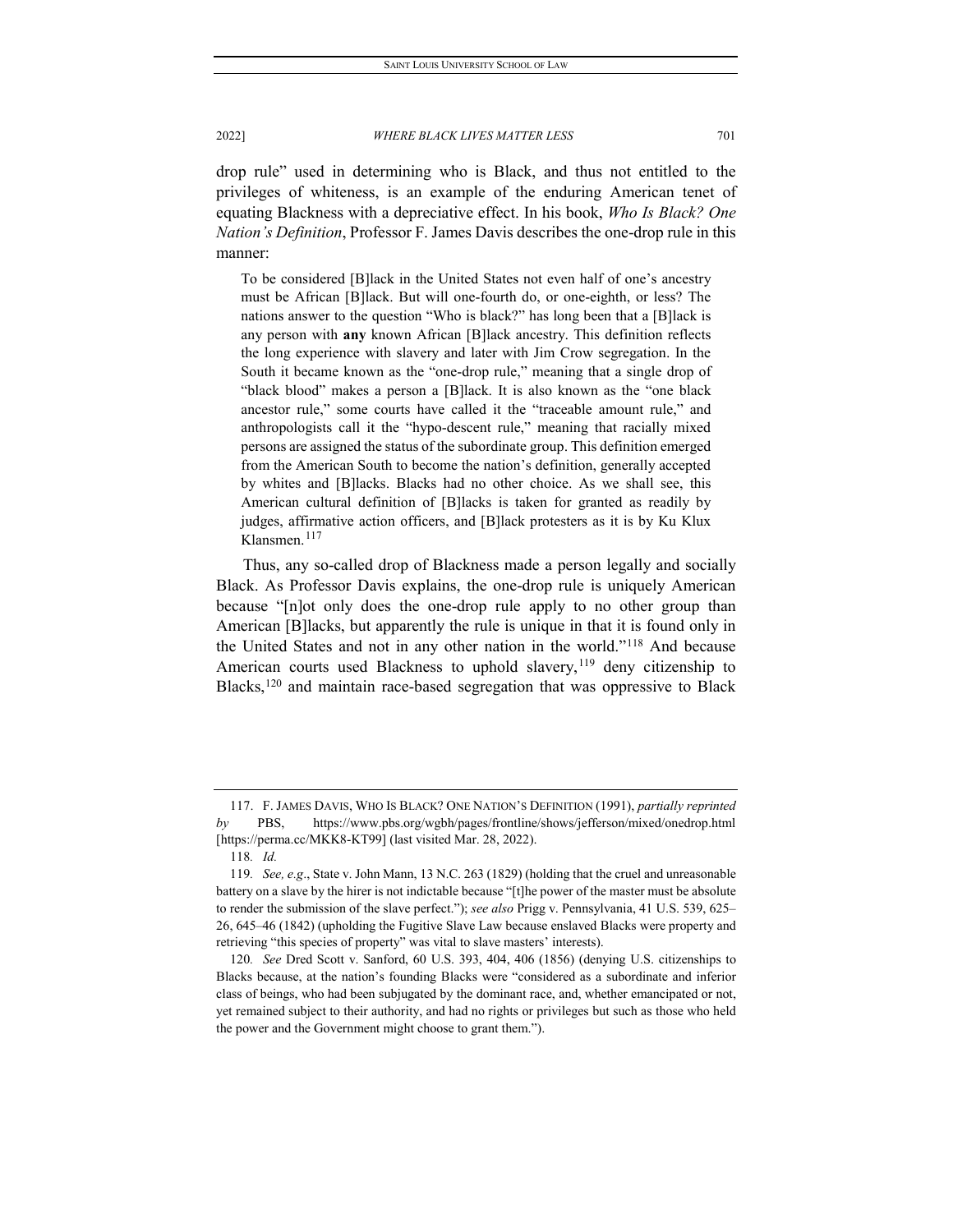drop rule" used in determining who is Black, and thus not entitled to the privileges of whiteness, is an example of the enduring American tenet of equating Blackness with a depreciative effect. In his book, *Who Is Black? One Nation's Definition*, Professor F. James Davis describes the one-drop rule in this manner:

To be considered [B]lack in the United States not even half of one's ancestry must be African [B]lack. But will one-fourth do, or one-eighth, or less? The nations answer to the question "Who is black?" has long been that a [B]lack is any person with **any** known African [B]lack ancestry. This definition reflects the long experience with slavery and later with Jim Crow segregation. In the South it became known as the "one-drop rule," meaning that a single drop of "black blood" makes a person a [B]lack. It is also known as the "one black ancestor rule," some courts have called it the "traceable amount rule," and anthropologists call it the "hypo-descent rule," meaning that racially mixed persons are assigned the status of the subordinate group. This definition emerged from the American South to become the nation's definition, generally accepted by whites and [B]lacks. Blacks had no other choice. As we shall see, this American cultural definition of [B]lacks is taken for granted as readily by judges, affirmative action officers, and [B]lack protesters as it is by Ku Klux Klansmen.<sup>[117](#page-25-0)</sup>

Thus, any so-called drop of Blackness made a person legally and socially Black. As Professor Davis explains, the one-drop rule is uniquely American because "[n]ot only does the one-drop rule apply to no other group than American [B]lacks, but apparently the rule is unique in that it is found only in the United States and not in any other nation in the world."[118](#page-25-1) And because American courts used Blackness to uphold slavery,<sup>[119](#page-25-2)</sup> deny citizenship to Blacks,<sup>[120](#page-25-3)</sup> and maintain race-based segregation that was oppressive to Black

<span id="page-25-0"></span><sup>117.</sup> F. JAMES DAVIS, WHO IS BLACK? ONE NATION'S DEFINITION (1991), *partially reprinted by* PBS, https://www.pbs.org/wgbh/pages/frontline/shows/jefferson/mixed/onedrop.html [https://perma.cc/MKK8-KT99] (last visited Mar. 28, 2022).

<sup>118</sup>*. Id.*

<span id="page-25-2"></span><span id="page-25-1"></span><sup>119</sup>*. See, e.g*., State v. John Mann, 13 N.C. 263 (1829) (holding that the cruel and unreasonable battery on a slave by the hirer is not indictable because "[t]he power of the master must be absolute to render the submission of the slave perfect."); *see also* Prigg v. Pennsylvania, 41 U.S. 539, 625– 26, 645–46 (1842) (upholding the Fugitive Slave Law because enslaved Blacks were property and retrieving "this species of property" was vital to slave masters' interests).

<span id="page-25-3"></span><sup>120</sup>*. See* Dred Scott v. Sanford, 60 U.S. 393, 404, 406 (1856) (denying U.S. citizenships to Blacks because, at the nation's founding Blacks were "considered as a subordinate and inferior class of beings, who had been subjugated by the dominant race, and, whether emancipated or not, yet remained subject to their authority, and had no rights or privileges but such as those who held the power and the Government might choose to grant them.").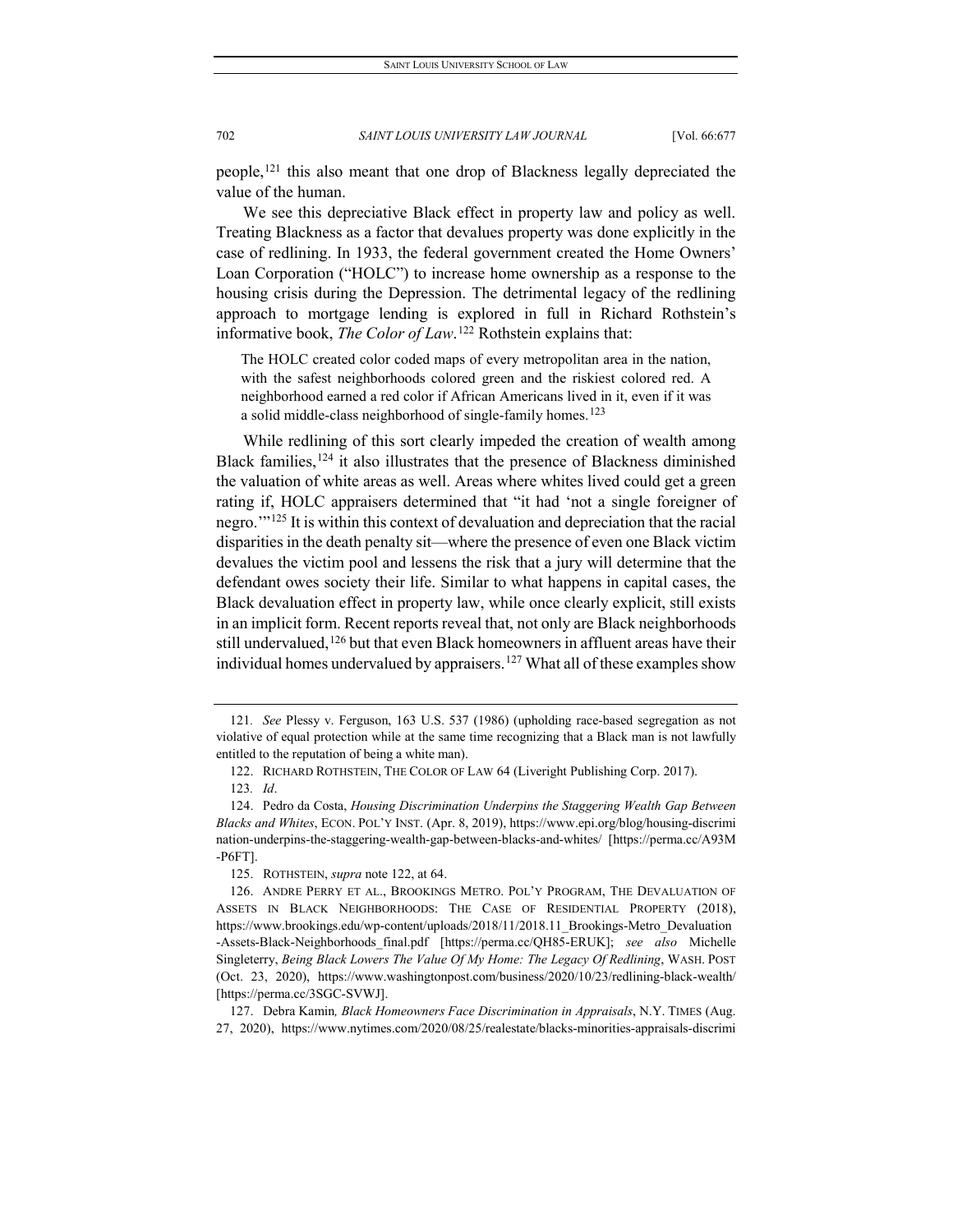people,[121](#page-26-0) this also meant that one drop of Blackness legally depreciated the value of the human.

We see this depreciative Black effect in property law and policy as well. Treating Blackness as a factor that devalues property was done explicitly in the case of redlining. In 1933, the federal government created the Home Owners' Loan Corporation ("HOLC") to increase home ownership as a response to the housing crisis during the Depression. The detrimental legacy of the redlining approach to mortgage lending is explored in full in Richard Rothstein's informative book, *The Color of Law*. [122](#page-26-1) Rothstein explains that:

The HOLC created color coded maps of every metropolitan area in the nation, with the safest neighborhoods colored green and the riskiest colored red. A neighborhood earned a red color if African Americans lived in it, even if it was a solid middle-class neighborhood of single-family homes.<sup>[123](#page-26-2)</sup>

While redlining of this sort clearly impeded the creation of wealth among Black families,[124](#page-26-3) it also illustrates that the presence of Blackness diminished the valuation of white areas as well. Areas where whites lived could get a green rating if, HOLC appraisers determined that "it had 'not a single foreigner of negro.'"[125](#page-26-4) It is within this context of devaluation and depreciation that the racial disparities in the death penalty sit—where the presence of even one Black victim devalues the victim pool and lessens the risk that a jury will determine that the defendant owes society their life. Similar to what happens in capital cases, the Black devaluation effect in property law, while once clearly explicit, still exists in an implicit form. Recent reports reveal that, not only are Black neighborhoods still undervalued,<sup>[126](#page-26-5)</sup> but that even Black homeowners in affluent areas have their individual homes undervalued by appraisers.<sup>[127](#page-26-6)</sup> What all of these examples show

<span id="page-26-0"></span><sup>121</sup>*. See* Plessy v. Ferguson, 163 U.S. 537 (1986) (upholding race-based segregation as not violative of equal protection while at the same time recognizing that a Black man is not lawfully entitled to the reputation of being a white man).

<sup>122.</sup> RICHARD ROTHSTEIN, THE COLOR OF LAW 64 (Liveright Publishing Corp. 2017).

<sup>123</sup>*. Id*.

<span id="page-26-3"></span><span id="page-26-2"></span><span id="page-26-1"></span><sup>124.</sup> Pedro da Costa, *Housing Discrimination Underpins the Staggering Wealth Gap Between Blacks and Whites*, ECON. POL'Y INST. (Apr. 8, 2019), https://www.epi.org/blog/housing-discrimi nation-underpins-the-staggering-wealth-gap-between-blacks-and-whites/ [https://perma.cc/A93M -P6FT].

<sup>125.</sup> ROTHSTEIN, *supra* note 122, at 64.

<span id="page-26-5"></span><span id="page-26-4"></span><sup>126.</sup> ANDRE PERRY ET AL., BROOKINGS METRO. POL'Y PROGRAM, THE DEVALUATION OF ASSETS IN BLACK NEIGHBORHOODS: THE CASE OF RESIDENTIAL PROPERTY (2018), https://www.brookings.edu/wp-content/uploads/2018/11/2018.11\_Brookings-Metro\_Devaluation -Assets-Black-Neighborhoods\_final.pdf [https://perma.cc/QH85-ERUK]; *see also* Michelle Singleterry, *Being Black Lowers The Value Of My Home: The Legacy Of Redlining*, WASH. POST (Oct. 23, 2020), https://www.washingtonpost.com/business/2020/10/23/redlining-black-wealth/ [https://perma.cc/3SGC-SVWJ].

<span id="page-26-6"></span><sup>127.</sup> Debra Kamin*, Black Homeowners Face Discrimination in Appraisals*, N.Y. TIMES (Aug. 27, 2020), https://www.nytimes.com/2020/08/25/realestate/blacks-minorities-appraisals-discrimi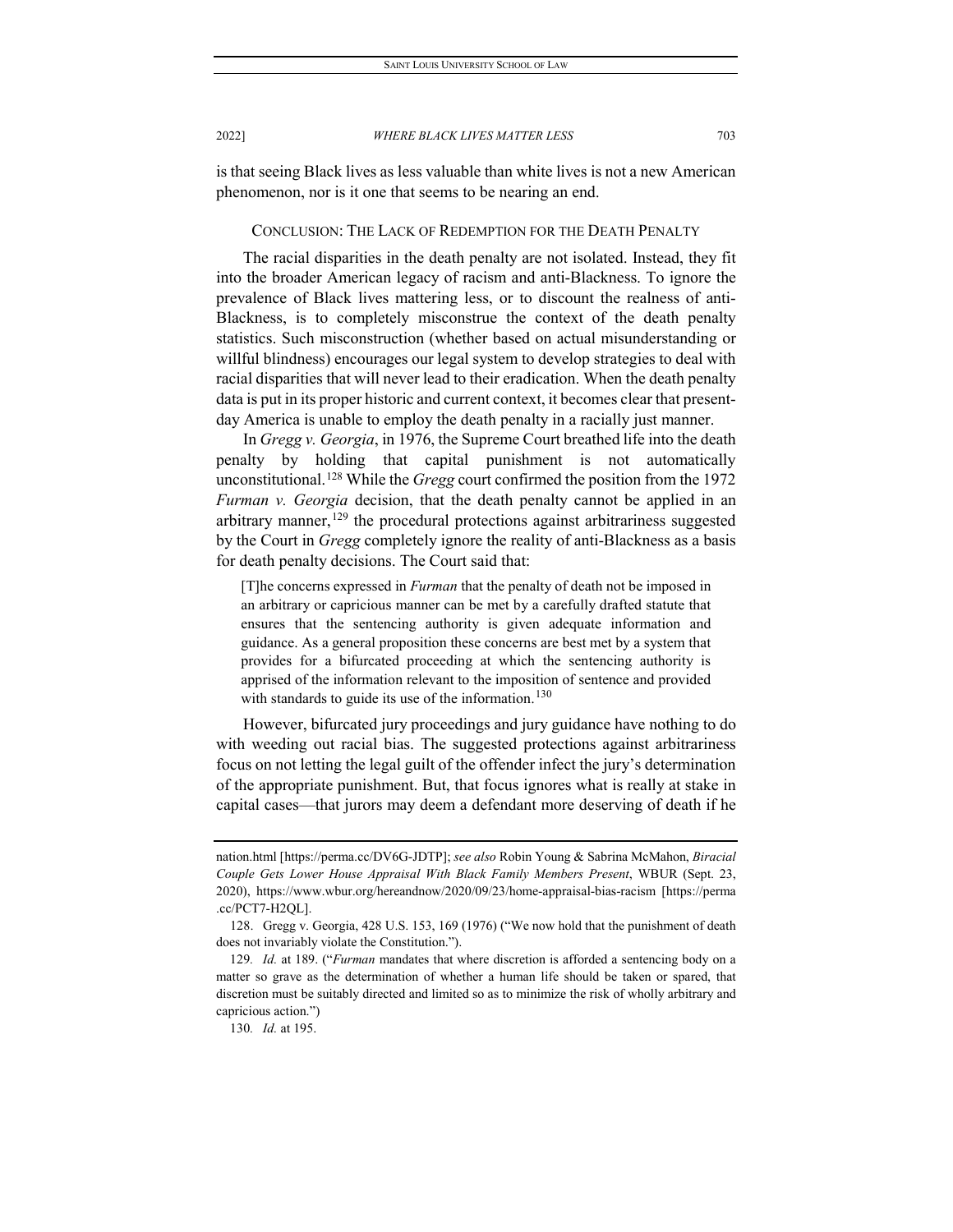is that seeing Black lives as less valuable than white lives is not a new American phenomenon, nor is it one that seems to be nearing an end.

# CONCLUSION: THE LACK OF REDEMPTION FOR THE DEATH PENALTY

The racial disparities in the death penalty are not isolated. Instead, they fit into the broader American legacy of racism and anti-Blackness. To ignore the prevalence of Black lives mattering less, or to discount the realness of anti-Blackness, is to completely misconstrue the context of the death penalty statistics. Such misconstruction (whether based on actual misunderstanding or willful blindness) encourages our legal system to develop strategies to deal with racial disparities that will never lead to their eradication. When the death penalty data is put in its proper historic and current context, it becomes clear that presentday America is unable to employ the death penalty in a racially just manner.

In *Gregg v. Georgia*, in 1976, the Supreme Court breathed life into the death penalty by holding that capital punishment is not automatically unconstitutional.[128](#page-27-0) While the *Gregg* court confirmed the position from the 1972 *Furman v. Georgia* decision, that the death penalty cannot be applied in an arbitrary manner,  $129$  the procedural protections against arbitrariness suggested by the Court in *Gregg* completely ignore the reality of anti-Blackness as a basis for death penalty decisions. The Court said that:

[T]he concerns expressed in *Furman* that the penalty of death not be imposed in an arbitrary or capricious manner can be met by a carefully drafted statute that ensures that the sentencing authority is given adequate information and guidance. As a general proposition these concerns are best met by a system that provides for a bifurcated proceeding at which the sentencing authority is apprised of the information relevant to the imposition of sentence and provided with standards to guide its use of the information.<sup>[130](#page-27-2)</sup>

However, bifurcated jury proceedings and jury guidance have nothing to do with weeding out racial bias. The suggested protections against arbitrariness focus on not letting the legal guilt of the offender infect the jury's determination of the appropriate punishment. But, that focus ignores what is really at stake in capital cases—that jurors may deem a defendant more deserving of death if he

nation.html [https://perma.cc/DV6G-JDTP]; *see also* Robin Young & Sabrina McMahon, *Biracial Couple Gets Lower House Appraisal With Black Family Members Present*, WBUR (Sept. 23, 2020), https://www.wbur.org/hereandnow/2020/09/23/home-appraisal-bias-racism [https://perma .cc/PCT7-H2QL].

<span id="page-27-0"></span><sup>128.</sup> Gregg v. Georgia, 428 U.S. 153, 169 (1976) ("We now hold that the punishment of death does not invariably violate the Constitution.").

<span id="page-27-2"></span><span id="page-27-1"></span><sup>129</sup>*. Id.* at 189. ("*Furman* mandates that where discretion is afforded a sentencing body on a matter so grave as the determination of whether a human life should be taken or spared, that discretion must be suitably directed and limited so as to minimize the risk of wholly arbitrary and capricious action.")

<sup>130</sup>*. Id.* at 195.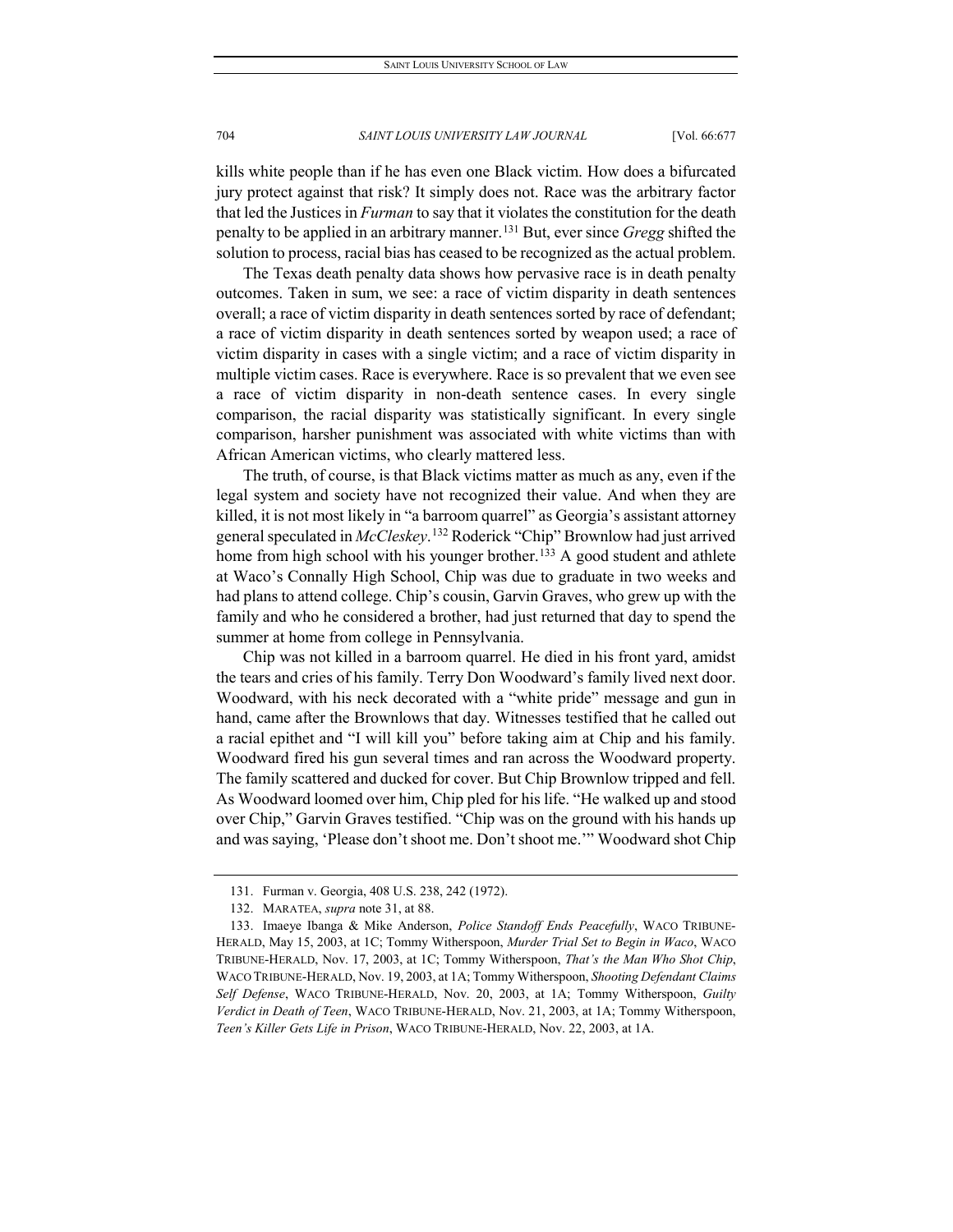kills white people than if he has even one Black victim. How does a bifurcated jury protect against that risk? It simply does not. Race was the arbitrary factor that led the Justices in *Furman* to say that it violates the constitution for the death penalty to be applied in an arbitrary manner.[131](#page-28-0) But, ever since *Gregg* shifted the solution to process, racial bias has ceased to be recognized as the actual problem.

The Texas death penalty data shows how pervasive race is in death penalty outcomes. Taken in sum, we see: a race of victim disparity in death sentences overall; a race of victim disparity in death sentences sorted by race of defendant; a race of victim disparity in death sentences sorted by weapon used; a race of victim disparity in cases with a single victim; and a race of victim disparity in multiple victim cases. Race is everywhere. Race is so prevalent that we even see a race of victim disparity in non-death sentence cases. In every single comparison, the racial disparity was statistically significant. In every single comparison, harsher punishment was associated with white victims than with African American victims, who clearly mattered less.

The truth, of course, is that Black victims matter as much as any, even if the legal system and society have not recognized their value. And when they are killed, it is not most likely in "a barroom quarrel" as Georgia's assistant attorney general speculated in *McCleskey*. [132](#page-28-1) Roderick "Chip" Brownlow had just arrived home from high school with his younger brother.<sup>[133](#page-28-2)</sup> A good student and athlete at Waco's Connally High School, Chip was due to graduate in two weeks and had plans to attend college. Chip's cousin, Garvin Graves, who grew up with the family and who he considered a brother, had just returned that day to spend the summer at home from college in Pennsylvania.

Chip was not killed in a barroom quarrel. He died in his front yard, amidst the tears and cries of his family. Terry Don Woodward's family lived next door. Woodward, with his neck decorated with a "white pride" message and gun in hand, came after the Brownlows that day. Witnesses testified that he called out a racial epithet and "I will kill you" before taking aim at Chip and his family. Woodward fired his gun several times and ran across the Woodward property. The family scattered and ducked for cover. But Chip Brownlow tripped and fell. As Woodward loomed over him, Chip pled for his life. "He walked up and stood over Chip," Garvin Graves testified. "Chip was on the ground with his hands up and was saying, 'Please don't shoot me. Don't shoot me.'" Woodward shot Chip

<sup>131.</sup> Furman v. Georgia, 408 U.S. 238, 242 (1972).

<sup>132.</sup> MARATEA, *supra* note 31, at 88.

<span id="page-28-2"></span><span id="page-28-1"></span><span id="page-28-0"></span><sup>133.</sup> Imaeye Ibanga & Mike Anderson, *Police Standoff Ends Peacefully*, WACO TRIBUNE-HERALD, May 15, 2003, at 1C; Tommy Witherspoon, *Murder Trial Set to Begin in Waco*, WACO TRIBUNE-HERALD, Nov. 17, 2003, at 1C; Tommy Witherspoon, *That's the Man Who Shot Chip*, WACO TRIBUNE-HERALD, Nov. 19, 2003, at 1A; Tommy Witherspoon, *Shooting Defendant Claims Self Defense*, WACO TRIBUNE-HERALD, Nov. 20, 2003, at 1A; Tommy Witherspoon, *Guilty Verdict in Death of Teen*, WACO TRIBUNE-HERALD, Nov. 21, 2003, at 1A; Tommy Witherspoon, *Teen's Killer Gets Life in Prison*, WACO TRIBUNE-HERALD, Nov. 22, 2003, at 1A.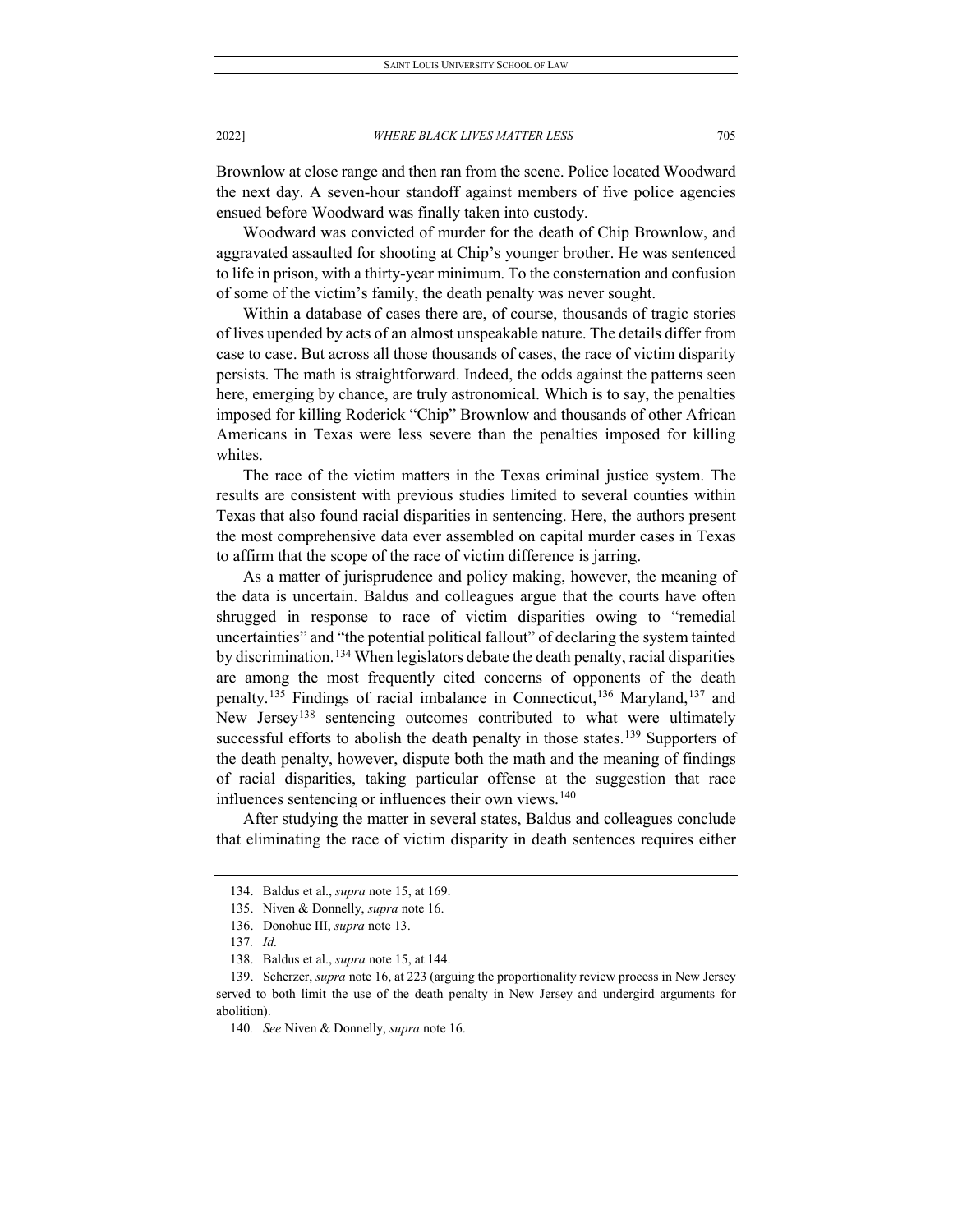Brownlow at close range and then ran from the scene. Police located Woodward the next day. A seven-hour standoff against members of five police agencies ensued before Woodward was finally taken into custody.

Woodward was convicted of murder for the death of Chip Brownlow, and aggravated assaulted for shooting at Chip's younger brother. He was sentenced to life in prison, with a thirty-year minimum. To the consternation and confusion of some of the victim's family, the death penalty was never sought.

Within a database of cases there are, of course, thousands of tragic stories of lives upended by acts of an almost unspeakable nature. The details differ from case to case. But across all those thousands of cases, the race of victim disparity persists. The math is straightforward. Indeed, the odds against the patterns seen here, emerging by chance, are truly astronomical. Which is to say, the penalties imposed for killing Roderick "Chip" Brownlow and thousands of other African Americans in Texas were less severe than the penalties imposed for killing whites.

The race of the victim matters in the Texas criminal justice system. The results are consistent with previous studies limited to several counties within Texas that also found racial disparities in sentencing. Here, the authors present the most comprehensive data ever assembled on capital murder cases in Texas to affirm that the scope of the race of victim difference is jarring.

As a matter of jurisprudence and policy making, however, the meaning of the data is uncertain. Baldus and colleagues argue that the courts have often shrugged in response to race of victim disparities owing to "remedial uncertainties" and "the potential political fallout" of declaring the system tainted by discrimination.<sup>[134](#page-29-0)</sup> When legislators debate the death penalty, racial disparities are among the most frequently cited concerns of opponents of the death penalty.<sup>[135](#page-29-1)</sup> Findings of racial imbalance in Connecticut,<sup>[136](#page-29-2)</sup> Maryland,<sup>[137](#page-29-3)</sup> and New Jersey<sup>[138](#page-29-4)</sup> sentencing outcomes contributed to what were ultimately successful efforts to abolish the death penalty in those states.<sup>[139](#page-29-5)</sup> Supporters of the death penalty, however, dispute both the math and the meaning of findings of racial disparities, taking particular offense at the suggestion that race influences sentencing or influences their own views.<sup>[140](#page-29-6)</sup>

<span id="page-29-0"></span>After studying the matter in several states, Baldus and colleagues conclude that eliminating the race of victim disparity in death sentences requires either

<sup>134.</sup> Baldus et al., *supra* note 15, at 169.

<sup>135.</sup> Niven & Donnelly, *supra* note 16.

<sup>136.</sup> Donohue III, *supra* note 13.

<sup>137</sup>*. Id.*

<sup>138.</sup> Baldus et al., *supra* note 15, at 144.

<span id="page-29-6"></span><span id="page-29-5"></span><span id="page-29-4"></span><span id="page-29-3"></span><span id="page-29-2"></span><span id="page-29-1"></span><sup>139.</sup> Scherzer, *supra* note 16, at 223 (arguing the proportionality review process in New Jersey served to both limit the use of the death penalty in New Jersey and undergird arguments for abolition).

<sup>140</sup>*. See* Niven & Donnelly, *supra* note 16.